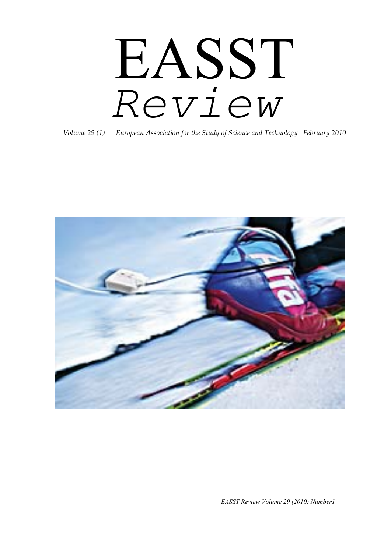# EASST *Review*

*Volume 29 (1) European Association for the Study of Science and Technology February 2010*



*EASST Review Volume 29 (2010) Number1*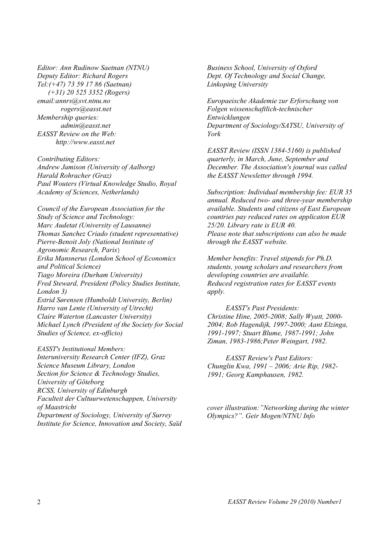*Editor: Ann Rudinow Saetnan (NTNU) Deputy Editor: Richard Rogers Tel:(+47) 73 59 17 86 (Saetnan) (+31) 20 525 3352 (Rogers) email:annrs@svt.ntnu.no rogers@easst.net Membership queries: admin@easst.net EASST Review on the Web: http://www.easst.net*

*Contributing Editors: Andrew Jamison (University of Aalborg) Harald Rohracher (Graz) Paul Wouters (Virtual Knowledge Studio, Royal Academy of Sciences, Netherlands)* 

*Council of the European Association for the Study of Science and Technology: Marc Audetat (University of Lausanne) Thomas Sanchez Criado (student representative) Pierre-Benoit Joly (National Institute of Agronomic Research, Paris*) *Erika Mansnerus (London School of Economics and Political Science) Tiago Moreira (Durham University) Fred Steward, President (Policy Studies Institute, London 3) Estrid Sørensen (Humboldt University, Berlin) Harro van Lente (University of Utrecht) Claire Waterton (Lancaster University) Michael Lynch (President of the Society for Social Studies of Science, ex-officio)* 

*EASST's Institutional Members: Interuniversity Research Center (IFZ), Graz Science Museum Library, London Section for Science & Technology Studies, University of Göteborg RCSS, University of Edinburgh Faculteit der Cultuurwetenschappen, University of Maastricht Department of Sociology, University of Surrey Institute for Science, Innovation and Society, Saïd*  *Business School, University of Oxford Dept. Of Technology and Social Change, Linkoping University*

*Europaeische Akademie zur Erforschung von Folgen wissenschaftlich-technischer Entwicklungen Department of Sociology/SATSU, University of York*

*EASST Review (ISSN 1384-5160) is published quarterly, in March, June, September and December. The Association's journal was called the EASST Newsletter through 1994.* 

*Subscription: Individual membership fee: EUR 35 annual. Reduced two- and three-year membership available. Students and citizens of East European countries pay reduced rates on applicaton EUR 25/20. Library rate is EUR 40. Please note that subscriptions can also be made through the EASST website.* 

*Member benefits: Travel stipends for Ph.D. students, young scholars and researchers from developing countries are available. Reduced registration rates for EASST events apply.* 

*EASST's Past Presidents: Christine Hine, 2005-2008; Sally Wyatt, 2000- 2004; Rob Hagendijk, 1997-2000; Aant Elzinga, 1991-1997; Stuart Blume, 1987-1991; John Ziman, 1983-1986;Peter Weingart, 1982.* 

*EASST Review's Past Editors: Chunglin Kwa, 1991 – 2006; Arie Rip, 1982- 1991; Georg Kamphausen, 1982.*

*cover illustration:"Networking during the winter Olympics?". Geir Mogen/NTNU Info*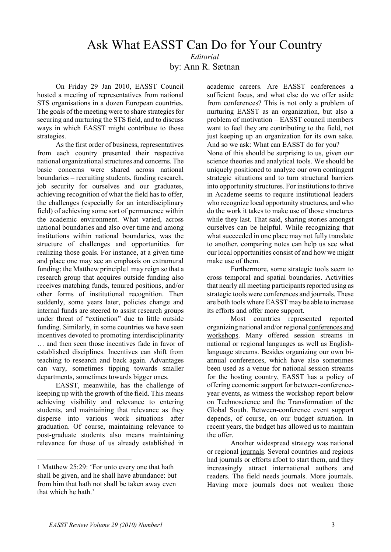## Ask What EASST Can Do for Your Country *Editorial*

by: Ann R. Sætnan

On Friday 29 Jan 2010, EASST Council hosted a meeting of representatives from national STS organisations in a dozen European countries. The goals of the meeting were to share strategies for securing and nurturing the STS field, and to discuss ways in which EASST might contribute to those strategies.

As the first order of business, representatives from each country presented their respective national organizational structures and concerns. The basic concerns were shared across national boundaries – recruiting students, funding research, job security for ourselves and our graduates, achieving recognition of what the field has to offer, the challenges (especially for an interdisciplinary field) of achieving some sort of permanence within the academic environment. What varied, across national boundaries and also over time and among institutions within national boundaries, was the structure of challenges and opportunities for realizing those goals. For instance, at a given time and place one may see an emphasis on extramural funding; the Matthew principle[1](#page-2-0) may reign so that a research group that acquires outside funding also receives matching funds, tenured positions, and/or other forms of institutional recognition. Then suddenly, some years later, policies change and internal funds are steered to assist research groups under threat of "extinction" due to little outside funding. Similarly, in some countries we have seen incentives devoted to promoting interdisciplinarity … and then seen those incentives fade in favor of established disciplines. Incentives can shift from teaching to research and back again. Advantages can vary, sometimes tipping towards smaller departments, sometimes towards bigger ones.

EASST, meanwhile, has the challenge of keeping up with the growth of the field. This means achieving visibility and relevance to entering students, and maintaining that relevance as they disperse into various work situations after graduation. Of course, maintaining relevance to post-graduate students also means maintaining relevance for those of us already established in

-

academic careers. Are EASST conferences a sufficient focus, and what else do we offer aside from conferences? This is not only a problem of nurturing EASST as an organization, but also a problem of motivation – EASST council members want to feel they are contributing to the field, not just keeping up an organization for its own sake. And so we ask: What can EASST do for you? None of this should be surprising to us, given our science theories and analytical tools. We should be uniquely positioned to analyze our own contingent strategic situations and to turn structural barriers into opportunity structures. For institutions to thrive in Academe seems to require institutional leaders who recognize local opportunity structures, and who do the work it takes to make use of those structures while they last. That said, sharing stories amongst ourselves can be helpful. While recognizing that what succeeded in one place may not fully translate to another, comparing notes can help us see what our local opportunities consist of and how we might make use of them.

Furthermore, some strategic tools seem to cross temporal and spatial boundaries. Activities that nearly all meeting participants reported using as strategic tools were conferences and journals. These are both tools where EASST may be able to increase its efforts and offer more support.

Most countries represented reported organizing national and/or regional conferences and workshops. Many offered session streams in national or regional languages as well as Englishlanguage streams. Besides organizing our own biannual conferences, which have also sometimes been used as a venue for national session streams for the hosting country, EASST has a policy of offering economic support for between-conferenceyear events, as witness the workshop report below on Technoscience and the Transformation of the Global South. Between-conference event support depends, of course, on our budget situation. In recent years, the budget has allowed us to maintain the offer.

Another widespread strategy was national or regional journals. Several countries and regions had journals or efforts afoot to start them, and they increasingly attract international authors and readers. The field needs journals. More journals. Having more journals does not weaken those

<span id="page-2-0"></span><sup>1</sup> Matthew 25:29: 'For unto every one that hath shall be given, and he shall have abundance: but from him that hath not shall be taken away even that which he hath.'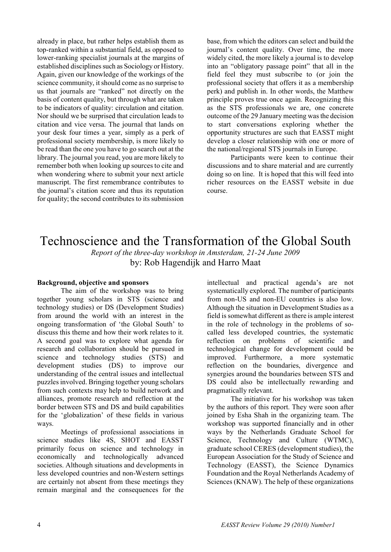already in place, but rather helps establish them as top-ranked within a substantial field, as opposed to lower-ranking specialist journals at the margins of established disciplines such as Sociology or History. Again, given our knowledge of the workings of the science community, it should come as no surprise to us that journals are "ranked" not directly on the basis of content quality, but through what are taken to be indicators of quality: circulation and citation. Nor should we be surprised that circulation leads to citation and vice versa. The journal that lands on your desk four times a year, simply as a perk of professional society membership, is more likely to be read than the one you have to go search out at the library. The journal you read, you are more likely to remember both when looking up sources to cite and when wondering where to submit your next article manuscript. The first remembrance contributes to the journal's citation score and thus its reputation for quality; the second contributes to its submission

base, from which the editors can select and build the journal's content quality. Over time, the more widely cited, the more likely a journal is to develop into an "obligatory passage point" that all in the field feel they must subscribe to (or join the professional society that offers it as a membership perk) and publish in. In other words, the Matthew principle proves true once again. Recognizing this as the STS professionals we are, one concrete outcome of the 29 January meeting was the decision to start conversations exploring whether the opportunity structures are such that EASST might develop a closer relationship with one or more of the national/regional STS journals in Europe.

Participants were keen to continue their discussions and to share material and are currently doing so on line. It is hoped that this will feed into richer resources on the EASST website in due course.

# Technoscience and the Transformation of the Global South

*Report of the three-day workshop in Amsterdam, 21-24 June 2009* by: Rob Hagendijk and Harro Maat

#### **Background, objective and sponsors**

The aim of the workshop was to bring together young scholars in STS (science and technology studies) or DS (Development Studies) from around the world with an interest in the ongoing transformation of 'the Global South' to discuss this theme and how their work relates to it. A second goal was to explore what agenda for research and collaboration should be pursued in science and technology studies (STS) and development studies (DS) to improve our understanding of the central issues and intellectual puzzles involved. Bringing together young scholars from such contexts may help to build network and alliances, promote research and reflection at the border between STS and DS and build capabilities for the 'globalization' of these fields in various ways.

Meetings of professional associations in science studies like 4S, SHOT and EASST primarily focus on science and technology in economically and technologically advanced societies. Although situations and developments in less developed countries and non-Western settings are certainly not absent from these meetings they remain marginal and the consequences for the intellectual and practical agenda's are not systematically explored. The number of participants from non-US and non-EU countries is also low. Although the situation in Development Studies as a field is somewhat different as there is ample interest in the role of technology in the problems of socalled less developed countries, the systematic reflection on problems of scientific and technological change for development could be improved. Furthermore, a more systematic reflection on the boundaries, divergence and synergies around the boundaries between STS and DS could also be intellectually rewarding and pragmatically relevant.

The initiative for his workshop was taken by the authors of this report. They were soon after joined by Esha Shah in the organizing team. The workshop was supported financially and in other ways by the Netherlands Graduate School for Science, Technology and Culture (WTMC), graduate school CERES (development studies), the European Association for the Study of Science and Technology (EASST), the Science Dynamics Foundation and the Royal Netherlands Academy of Sciences (KNAW). The help of these organizations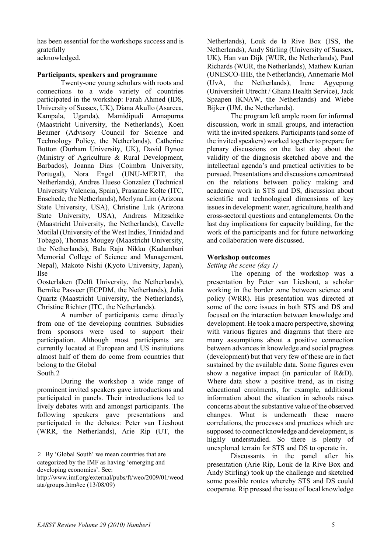has been essential for the workshops success and is gratefully acknowledged.

#### **Participants, speakers and programme**

Twenty-one young scholars with roots and connections to a wide variety of countries participated in the workshop: Farah Ahmed (IDS, University of Sussex, UK), Diana Akullo (Asareca, Kampala, Uganda), Mamidipudi Annapurna (Maastricht University, the Netherlands), Koen Beumer (Advisory Council for Science and Technology Policy, the Netherlands), Catherine Button (Durham University, UK), David Bynoe (Ministry of Agriculture & Rural Development, Barbados), Joanna Dias (Coimbra University, Portugal), Nora Engel (UNU-MERIT, the Netherlands), Andres Hueso Gonzalez (Technical University Valencia, Spain), Prasanne Kolte (ITC, Enschede, the Netherlands), Merlyna Lim (Arizona State University, USA), Christine Luk (Arizona State University, USA), Andreas Mitzschke (Maastricht University, the Netherlands), Cavelle Motilal (University of the West Indies, Trinidad and Tobago), Thomas Mougey (Maastricht University, the Netherlands), Bala Raju Nikku (Kadambari Memorial College of Science and Management, Nepal), Makoto Nishi (Kyoto University, Japan), Ilse

Oosterlaken (Delft University, the Netherlands), Bernike Pasveer (ECPDM, the Netherlands), Julia Quartz (Maastricht University, the Netherlands), Christine Richter (ITC, the Netherlands).

A number of participants came directly from one of the developing countries. Subsidies from sponsors were used to support their participation. Although most participants are currently located at European and US institutions almost half of them do come from countries that belong to the Global

South.[2](#page-4-0)

-

During the workshop a wide range of prominent invited speakers gave introductions and participated in panels. Their introductions led to lively debates with and amongst participants. The following speakers gave presentations and participated in the debates: Peter van Lieshout (WRR, the Netherlands), Arie Rip (UT, the

Netherlands), Louk de la Rive Box (ISS, the Netherlands), Andy Stirling (University of Sussex, UK), Han van Dijk (WUR, the Netherlands), Paul Richards (WUR, the Netherlands), Mathew Kurian (UNESCO-IHE, the Netherlands), Annemarie Mol (UvA, the Netherlands), Irene Agyepong (Universiteit Utrecht / Ghana Health Service), Jack Spaapen (KNAW, the Netherlands) and Wiebe Bijker (UM, the Netherlands).

The program left ample room for informal discussion, work in small groups, and interaction with the invited speakers. Participants (and some of the invited speakers) worked together to prepare for plenary discussions on the last day about the validity of the diagnosis sketched above and the intellectual agenda's and practical activities to be pursued. Presentations and discussions concentrated on the relations between policy making and academic work in STS and DS, discussion about scientific and technological dimensions of key issues in development: water, agriculture, health and cross-sectoral questions and entanglements. On the last day implications for capacity building, for the work of the participants and for future networking and collaboration were discussed.

## **Workshop outcomes**

*Setting the scene (day 1)* 

The opening of the workshop was a presentation by Peter van Lieshout, a scholar working in the border zone between science and policy (WRR). His presentation was directed at some of the core issues in both STS and DS and focused on the interaction between knowledge and development. He took a macro perspective, showing with various figures and diagrams that there are many assumptions about a positive connection between advances in knowledge and social progress (development) but that very few of these are in fact sustained by the available data. Some figures even show a negative impact (in particular of R&D). Where data show a positive trend, as in rising educational enrolments, for example, additional information about the situation in schools raises concerns about the substantive value of the observed changes. What is underneath these macro correlations, the processes and practices which are supposed to connect knowledge and development, is highly understudied. So there is plenty of unexplored terrain for STS and DS to operate in.

Discussants in the panel after his presentation (Arie Rip, Louk de la Rive Box and Andy Stirling) took up the challenge and sketched some possible routes whereby STS and DS could cooperate. Rip pressed the issue of local knowledge

<span id="page-4-0"></span><sup>2</sup> By 'Global South' we mean countries that are categorized by the IMF as having 'emerging and developing economies'. See:

http://www.imf.org/external/pubs/ft/weo/2009/01/weod ata/groups.htm#cc (13/08/09)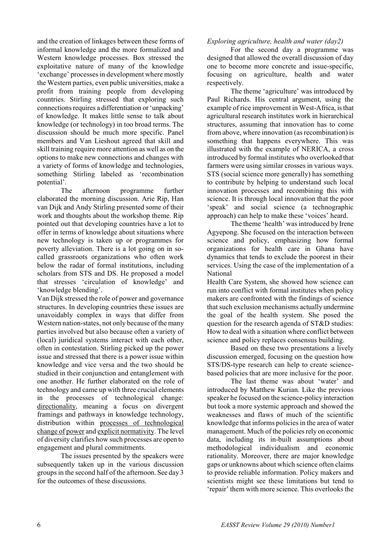and the creation of linkages between these forms of informal knowledge and the more formalized and Western knowledge processes. Box stressed the exploitative nature of many of the knowledge 'exchange' processes in development where mostly the Western parties, even public universities, make a profit from training people from developing countries. Stirling stressed that exploring such connections requires a differentiation or 'unpacking' of knowledge. It makes little sense to talk about knowledge (or technology) in too broad terms. The discussion should be much more specific. Panel members and Van Lieshout agreed that skill and skill training require more attention as well as on the options to make new connections and changes with a variety of forms of knowledge and technologies, something Stirling labeled as 'recombination potential'.

The afternoon programme further elaborated the morning discussion. Arie Rip, Han van Dijk and Andy Stirling presented some of their work and thoughts about the workshop theme. Rip pointed out that developing countries have a lot to offer in terms of knowledge about situations where new technology is taken up or programmes for poverty alleviation. There is a lot going on in socalled grassroots organizations who often work below the radar of formal institutions, including scholars from STS and DS. He proposed a model that stresses 'circulation of knowledge' and 'knowledge blending'.

Van Dijk stressed the role of power and governance structures. In developing countries these issues are unavoidably complex in ways that differ from Western nation-states, not only because of the many parties involved but also because often a variety of (local) juridical systems interact with each other, often in contestation. Stirling picked up the power issue and stressed that there is a power issue within knowledge and vice versa and the two should be studied in their conjunction and entanglement with one another. He further elaborated on the role of technology and came up with three crucial elements in the processes of technological change: directionality, meaning a focus on divergent framings and pathways in knowledge technology, distribution within processes of technological change of power and explicit normativity. The level of diversity clarifies how such processes are open to engagement and plural commitments.

The issues presented by the speakers were subsequently taken up in the various discussion groups in the second half of the afternoon. See day 3 for the outcomes of these discussions.

## *Exploring agriculture, health and water (day2)*

For the second day a programme was designed that allowed the overall discussion of day one to become more concrete and issue-specific, focusing on agriculture, health and water respectively.

The theme 'agriculture' was introduced by Paul Richards. His central argument, using the example of rice improvement in West-Africa, is that agricultural research institutes work in hierarchical structures, assuming that innovation has to come from above, where innovation (as recombination) is something that happens everywhere. This was illustrated with the example of NERICA, a cross introduced by formal institutes who overlooked that farmers were using similar crosses in various ways. STS (social science more generally) has something to contribute by helping to understand such local innovation processes and recombining this with science. It is through local innovation that the poor 'speak' and social science (a technographic approach) can help to make these 'voices' heard.

The theme 'health' was introduced by Irene Agyepong. She focused on the interaction between science and policy, emphasizing how formal organizations for health care in Ghana have dynamics that tends to exclude the poorest in their services. Using the case of the implementation of a National

Health Care System, she showed how science can run into conflict with formal institutes when policy makers are confronted with the findings of science that such exclusion mechanisms actually undermine the goal of the health system. She posed the question for the research agenda of ST&D studies: How to deal with a situation where conflict between science and policy replaces consensus building.

Based on these two presentations a lively discussion emerged, focusing on the question how STS/DS-type research can help to create sciencebased policies that are more inclusive for the poor.

The last theme was about 'water' and introduced by Matthew Kurian. Like the previous speaker he focused on the science-policy interaction but took a more systemic approach and showed the weaknesses and flaws of much of the scientific knowledge that informs policies in the area of water management. Much of the policies rely on economic data, including its in-built assumptions about methodological individualism and economic rationality. Moreover, there are major knowledge gaps or unknowns about which science often claims to provide reliable information. Policy makers and scientists might see these limitations but tend to 'repair' them with more science. This overlooks the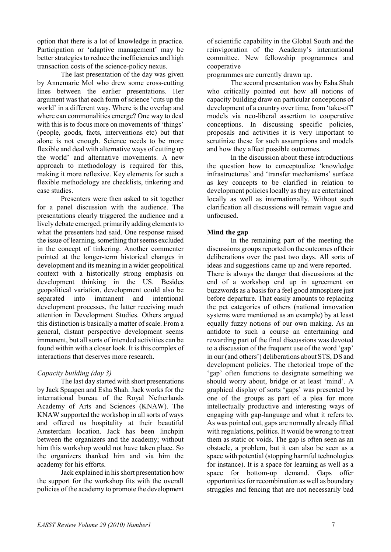option that there is a lot of knowledge in practice. Participation or 'adaptive management' may be better strategies to reduce the inefficiencies and high transaction costs of the science-policy nexus.

The last presentation of the day was given by Annemarie Mol who drew some cross-cutting lines between the earlier presentations. Her argument was that each form of science 'cuts up the world' in a different way. Where is the overlap and where can commonalities emerge? One way to deal with this is to focus more on movements of 'things' (people, goods, facts, interventions etc) but that alone is not enough. Science needs to be more flexible and deal with alternative ways of cutting up the world' and alternative movements. A new approach to methodology is required for this, making it more reflexive. Key elements for such a flexible methodology are checklists, tinkering and case studies.

Presenters were then asked to sit together for a panel discussion with the audience. The presentations clearly triggered the audience and a lively debate emerged, primarily adding elements to what the presenters had said. One response raised the issue of learning, something that seems excluded in the concept of tinkering. Another commenter pointed at the longer-term historical changes in development and its meaning in a wider geopolitical context with a historically strong emphasis on development thinking in the US. Besides geopolitical variation, development could also be separated into immanent and intentional development processes, the latter receiving much attention in Development Studies. Others argued this distinction is basically a matter of scale. From a general, distant perspective development seems immanent, but all sorts of intended activities can be found within with a closer look. It is this complex of interactions that deserves more research.

## *Capacity building (day 3)*

The last day started with short presentations by Jack Spaapen and Esha Shah. Jack works for the international bureau of the Royal Netherlands Academy of Arts and Sciences (KNAW). The KNAW supported the workshop in all sorts of ways and offered us hospitality at their beautiful Amsterdam location. Jack has been linchpin between the organizers and the academy; without him this workshop would not have taken place. So the organizers thanked him and via him the academy for his efforts.

Jack explained in his short presentation how the support for the workshop fits with the overall policies of the academy to promote the development

of scientific capability in the Global South and the reinvigoration of the Academy's international committee. New fellowship programmes and cooperative

programmes are currently drawn up.

The second presentation was by Esha Shah who critically pointed out how all notions of capacity building draw on particular conceptions of development of a country over time, from 'take-off' models via neo-liberal assertion to cooperative conceptions. In discussing specific policies, proposals and activities it is very important to scrutinize these for such assumptions and models and how they affect possible outcomes.

In the discussion about these introductions the question how to conceptualize 'knowledge infrastructures' and 'transfer mechanisms' surface as key concepts to be clarified in relation to development policies locally as they are entertained locally as well as internationally. Without such clarification all discussions will remain vague and unfocused.

## **Mind the gap**

In the remaining part of the meeting the discussions groups reported on the outcomes of their deliberations over the past two days. All sorts of ideas and suggestions came up and were reported. There is always the danger that discussions at the end of a workshop end up in agreement on buzzwords as a basis for a feel good atmosphere just before departure. That easily amounts to replacing the pet categories of others (national innovation systems were mentioned as an example) by at least equally fuzzy notions of our own making. As an antidote to such a course an entertaining and rewarding part of the final discussions was devoted to a discussion of the frequent use of the word 'gap' in our (and others') deliberations about STS, DS and development policies. The rhetorical trope of the 'gap' often functions to designate something we should worry about, bridge or at least 'mind'. A graphical display of sorts 'gaps' was presented by one of the groups as part of a plea for more intellectually productive and interesting ways of engaging with gap-language and what it refers to. As was pointed out, gaps are normally already filled with regulations, politics. It would be wrong to treat them as static or voids. The gap is often seen as an obstacle, a problem, but it can also be seen as a space with potential (stopping harmful technologies) for instance). It is a space for learning as well as a space for bottom-up demand. Gaps offer opportunities for recombination as well as boundary struggles and fencing that are not necessarily bad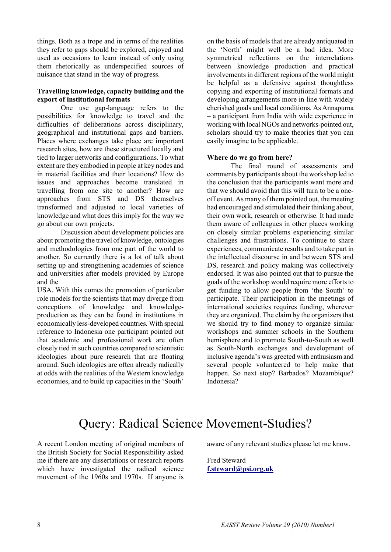things. Both as a trope and in terms of the realities they refer to gaps should be explored, enjoyed and used as occasions to learn instead of only using them rhetorically as underspecified sources of nuisance that stand in the way of progress.

## **Travelling knowledge, capacity building and the export of institutional formats**

One use gap-language refers to the possibilities for knowledge to travel and the difficulties of deliberations across disciplinary, geographical and institutional gaps and barriers. Places where exchanges take place are important research sites, how are these structured locally and tied to larger networks and configurations. To what extent are they embodied in people at key nodes and in material facilities and their locations? How do issues and approaches become translated in travelling from one site to another? How are approaches from STS and DS themselves transformed and adjusted to local varieties of knowledge and what does this imply for the way we go about our own projects.

Discussion about development policies are about promoting the travel of knowledge, ontologies and methodologies from one part of the world to another. So currently there is a lot of talk about setting up and strengthening academies of science and universities after models provided by Europe and the

USA. With this comes the promotion of particular role models for the scientists that may diverge from conceptions of knowledge and knowledgeproduction as they can be found in institutions in economically less-developed countries. With special reference to Indonesia one participant pointed out that academic and professional work are often closely tied in such countries compared to scientistic ideologies about pure research that are floating around. Such ideologies are often already radically at odds with the realities of the Western knowledge economies, and to build up capacities in the 'South'

on the basis of models that are already antiquated in the 'North' might well be a bad idea. More symmetrical reflections on the interrelations between knowledge production and practical involvements in different regions of the world might be helpful as a defensive against thoughtless copying and exporting of institutional formats and developing arrangements more in line with widely cherished goals and local conditions. As Annapurna – a participant from India with wide experience in working with local NGOs and networks-pointed out, scholars should try to make theories that you can easily imagine to be applicable.

#### **Where do we go from here?**

The final round of assessments and comments by participants about the workshop led to the conclusion that the participants want more and that we should avoid that this will turn to be a oneoff event. As many of them pointed out, the meeting had encouraged and stimulated their thinking about, their own work, research or otherwise. It had made them aware of colleagues in other places working on closely similar problems experiencing similar challenges and frustrations. To continue to share experiences, communicate results and to take part in the intellectual discourse in and between STS and DS, research and policy making was collectively endorsed. It was also pointed out that to pursue the goals of the workshop would require more efforts to get funding to allow people from 'the South' to participate. Their participation in the meetings of international societies requires funding, wherever they are organized. The claim by the organizers that we should try to find money to organize similar workshops and summer schools in the Southern hemisphere and to promote South-to-South as well as South-North exchanges and development of inclusive agenda's was greeted with enthusiasm and several people volunteered to help make that happen. So next stop? Barbados? Mozambique? Indonesia?

# Query: Radical Science Movement-Studies?

A recent London meeting of original members of the British Society for Social Responsibility asked me if there are any dissertations or research reports which have investigated the radical science movement of the 1960s and 1970s. If anyone is aware of any relevant studies please let me know.

Fred Steward **[f.steward@psi.org.uk](mailto:f.steward@psi.org.uk)**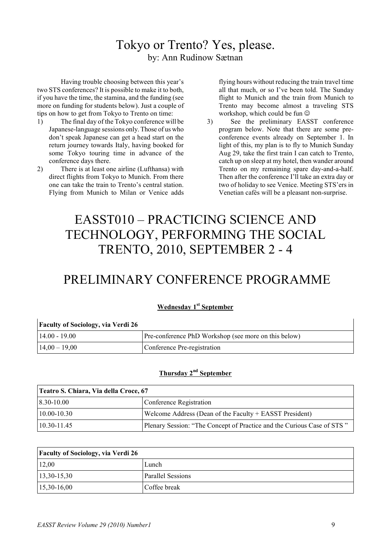# Tokyo or Trento? Yes, please. by: Ann Rudinow Sætnan

Having trouble choosing between this year's two STS conferences? It is possible to make it to both, if you have the time, the stamina, and the funding (see more on funding for students below). Just a couple of tips on how to get from Tokyo to Trento on time:

- 1) The final day of the Tokyo conference will be Japanese-language sessions only. Those of us who don't speak Japanese can get a head start on the return journey towards Italy, having booked for some Tokyo touring time in advance of the conference days there.
- 2) There is at least one airline (Lufthansa) with direct flights from Tokyo to Munich. From there one can take the train to Trento's central station. Flying from Munich to Milan or Venice adds

flying hours without reducing the train travel time all that much, or so I've been told. The Sunday flight to Munich and the train from Munich to Trento may become almost a traveling STS workshop, which could be fun  $\odot$ 

3) See the preliminary EASST conference program below. Note that there are some preconference events already on September 1. In light of this, my plan is to fly to Munich Sunday Aug 29, take the first train I can catch to Trento, catch up on sleep at my hotel, then wander around Trento on my remaining spare day-and-a-half. Then after the conference I'll take an extra day or two of holiday to see Venice. Meeting STS'ers in Venetian cafés will be a pleasant non-surprise.

# EASST010 – PRACTICING SCIENCE AND TECHNOLOGY, PERFORMING THE SOCIAL TRENTO, 2010, SEPTEMBER 2 - 4

# PRELIMINARY CONFERENCE PROGRAMME

| <b>Faculty of Sociology, via Verdi 26</b> |                                                      |
|-------------------------------------------|------------------------------------------------------|
| $14.00 - 19.00$                           | Pre-conference PhD Workshop (see more on this below) |
| $14,00 - 19,00$                           | Conference Pre-registration                          |

## **Thursday 2nd September**

| Teatro S. Chiara, Via della Croce, 67 |                                                                        |
|---------------------------------------|------------------------------------------------------------------------|
| $8.30 - 10.00$                        | Conference Registration                                                |
| $ 10.00 - 10.30 $                     | Welcome Address (Dean of the Faculty + EASST President)                |
| $10.30 - 11.45$                       | Plenary Session: "The Concept of Practice and the Curious Case of STS" |

| <b>Faculty of Sociology, via Verdi 26</b> |                   |
|-------------------------------------------|-------------------|
| 12,00                                     | Lunch             |
| $ 13,30-15,30 $                           | Parallel Sessions |
| $15,30-16,00$                             | Coffee break      |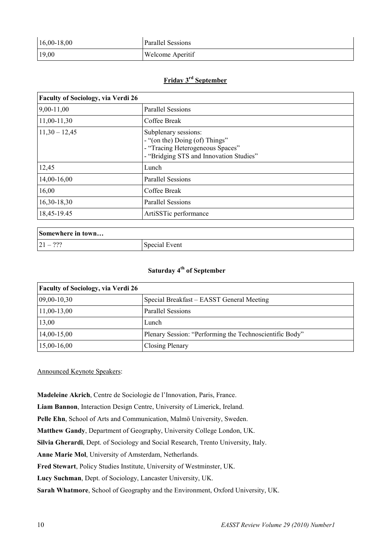| $16,00-18,00$ | Parallel Sessions       |
|---------------|-------------------------|
| 19,00         | <b>Welcome Aperitif</b> |

## **Friday 3rd September**

| <b>Faculty of Sociology, via Verdi 26</b> |                                                                                                                                       |
|-------------------------------------------|---------------------------------------------------------------------------------------------------------------------------------------|
| 9,00-11,00                                | <b>Parallel Sessions</b>                                                                                                              |
| 11,00-11,30                               | Coffee Break                                                                                                                          |
| $11,30 - 12,45$                           | Subplenary sessions:<br>- "(on the) Doing (of) Things"<br>- "Tracing Heterogeneous Spaces"<br>- "Bridging STS and Innovation Studies" |
| 12,45                                     | Lunch                                                                                                                                 |
| 14,00-16,00                               | <b>Parallel Sessions</b>                                                                                                              |
| 16,00                                     | Coffee Break                                                                                                                          |
| 16,30-18,30                               | <b>Parallel Sessions</b>                                                                                                              |
| 18,45-19.45                               | ArtiSSTic performance                                                                                                                 |

| Somewhere in town  |               |
|--------------------|---------------|
| റററ<br>$21 -$<br>. | Special Event |

## **Saturday 4th of September**

| <b>Faculty of Sociology, via Verdi 26</b> |                                                         |
|-------------------------------------------|---------------------------------------------------------|
| 09,00-10,30                               | Special Breakfast – EASST General Meeting               |
| $ 11,00-13,00 $                           | <b>Parallel Sessions</b>                                |
| 13,00                                     | Lunch                                                   |
| $14,00-15,00$                             | Plenary Session: "Performing the Technoscientific Body" |
| $15,00-16,00$                             | Closing Plenary                                         |

Announced Keynote Speakers:

**Madeleine Akrich**, Centre de Sociologie de l'Innovation, Paris, France.

**Liam Bannon**, Interaction Design Centre, University of Limerick, Ireland.

**Pelle Ehn**, School of Arts and Communication, Malmö University, Sweden.

**Matthew Gandy**, Department of Geography, University College London, UK.

**Silvia Gherardi**, Dept. of Sociology and Social Research, Trento University, Italy.

**Anne Marie Mol**, University of Amsterdam, Netherlands.

**Fred Stewart**, Policy Studies Institute, University of Westminster, UK.

**Lucy Suchman**, Dept. of Sociology, Lancaster University, UK.

**Sarah Whatmore**, School of Geography and the Environment, Oxford University, UK.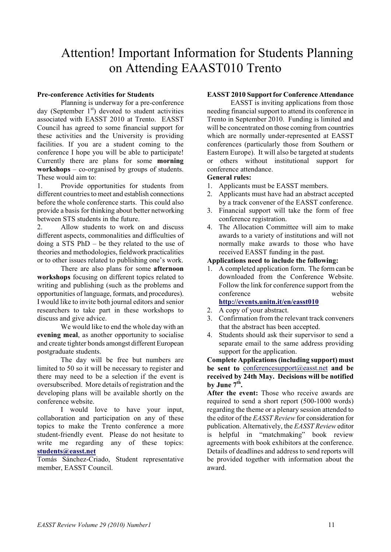# Attention! Important Information for Students Planning on Attending EAAST010 Trento

## **Pre-conference Activities for Students**

Planning is underway for a pre-conference day (September  $1<sup>st</sup>$ ) devoted to student activities associated with EASST 2010 at Trento. EASST Council has agreed to some financial support for these activities and the University is providing facilities. If you are a student coming to the conference I hope you will be able to participate! Currently there are plans for some **morning workshops** – co-organised by groups of students. These would aim to:

1. Provide opportunities for students from different countries to meet and establish connections before the whole conference starts. This could also provide a basis for thinking about better networking between STS students in the future.

2. Allow students to work on and discuss different aspects, commonalities and difficulties of doing a STS PhD – be they related to the use of theories and methodologies, fieldwork practicalities or to other issues related to publishing one's work.

There are also plans for some **afternoon workshops** focusing on different topics related to writing and publishing (such as the problems and opportunities of language, formats, and procedures). I would like to invite both journal editors and senior researchers to take part in these workshops to discuss and give advice.

We would like to end the whole day with an **evening meal**, as another opportunity to socialise and create tighter bonds amongst different European postgraduate students.

The day will be free but numbers are limited to 50 so it will be necessary to register and there may need to be a selection if the event is oversubscribed. More details of registration and the developing plans will be available shortly on the conference website.

I would love to have your input, collaboration and participation on any of these topics to make the Trento conference a more student-friendly event. Please do not hesitate to write me regarding any of these topics: **[students@easst.net](mailto:students@easst.net)**

Tomás Sánchez-Criado, Student representative member, EASST Council.

## **EASST 2010 Support for Conference Attendance**

EASST is inviting applications from those needing financial support to attend its conference in Trento in September 2010. Funding is limited and will be concentrated on those coming from countries which are normally under-represented at EASST conferences (particularly those from Southern or Eastern Europe). It will also be targeted at students or others without institutional support for conference attendance.

## **General rules:**

- 1. Applicants must be EASST members.
- 2. Applicants must have had an abstract accepted by a track convener of the EASST conference.
- 3. Financial support will take the form of free conference registration.
- 4. The Allocation Committee will aim to make awards to a variety of institutions and will not normally make awards to those who have received EASST funding in the past.

## **Applications need to include the following:**

1. A completed application form. The form can be downloaded from the Conference Website. Follow the link for conference support from the conference website

## **<http://events.unitn.it/en/easst010>**

- 2. A copy of your abstract.
- 3. Confirmation from the relevant track conveners that the abstract has been accepted.
- 4. Students should ask their supervisor to send a separate email to the same address providing support for the application.

**Complete Applications (including support) must be sent to** [conferencesupport@easst.net](mailto:conferencesupport@easst.net) **and be received by 24th May. Decisions will be notified**  by June  $7<sup>th</sup>$ .

**After the event:** Those who receive awards are required to send a short report (500-1000 words) regarding the theme or a plenary session attended to the editor of the *EASST Review* for consideration for publication. Alternatively, the *EASST Review* editor is helpful in "matchmaking" book review agreements with book exhibitors at the conference. Details of deadlines and address to send reports will be provided together with information about the award.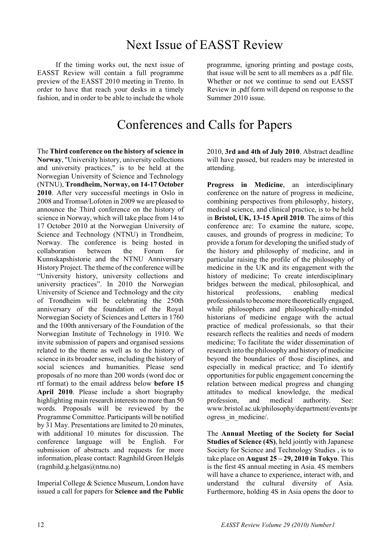# Next Issue of EASST Review

If the timing works out, the next issue of EASST Review will contain a full programme preview of the EASST 2010 meeting in Trento. In order to have that reach your desks in a timely fashion, and in order to be able to include the whole

programme, ignoring printing and postage costs, that issue will be sent to all members as a .pdf file. Whether or not we continue to send out EASST Review in .pdf form will depend on response to the Summer 2010 issue.

# Conferences and Calls for Papers

The **Third conference on the history of science in Norway**, "University history, university collections and university practices," is to be held at the Norwegian University of Science and Technology (NTNU), **Trondheim, Norway, on 14-17 October 2010**. After very successful meetings in Oslo in 2008 and Tromsø/Lofoten in 2009 we are pleased to announce the Third conference on the history of science in Norway, which will take place from 14 to 17 October 2010 at the Norwegian University of Science and Technology (NTNU) in Trondheim, Norway. The conference is being hosted in collaboration between the Forum for Kunnskapshistorie and the NTNU Anniversary History Project. The theme of the conference will be "University history, university collections and university practices". In 2010 the Norwegian University of Science and Technology and the city of Trondheim will be celebrating the 250th anniversary of the foundation of the Royal Norwegian Society of Sciences and Letters in 1760 and the 100th anniversary of the Foundation of the Norwegian Institute of Technology in 1910. We invite submission of papers and organised sessions related to the theme as well as to the history of science in its broader sense, including the history of social sciences and humanities. Please send proposals of no more than 200 words (word doc or rtf format) to the email address below **before 15 April 2010**. Please include a short biography highlighting main research interests no more than 50 words. Proposals will be reviewed by the Programme Committee. Participants will be notified by 31 May. Presentations are limited to 20 minutes, with additional 10 minutes for discussion. The conference language will be English. For submission of abstracts and requests for more information, please contact: Ragnhild Green Helgås (ragnhild.g.helgas@ntnu.no)

Imperial College & Science Museum, London have issued a call for papers for **Science and the Public**

2010, **3rd and 4th of July 2010**. Abstract deadline will have passed, but readers may be interested in attending.

**Progress in Medicine**, an interdisciplinary conference on the nature of progress in medicine, combining perspectives from philosophy, history, medical science, and clinical practice, is to be held in **Bristol, UK, 13-15 April 2010**. The aims of this conference are: To examine the nature, scope, causes, and grounds of progress in medicine; To provide a forum for developing the unified study of the history and philosophy of medicine, and in particular raising the profile of the philosophy of medicine in the UK and its engagement with the history of medicine; To create interdisciplinary bridges between the medical, philosophical, and historical professions, enabling medical professionals to become more theoretically engaged, while philosophers and philosophically-minded historians of medicine engage with the actual practice of medical professionals, so that their research reflects the realities and needs of modern medicine; To facilitate the wider dissemination of research into the philosophy and history of medicine beyond the boundaries of those disciplines, and especially in medical practice; and To identify opportunities for public engagement concerning the relation between medical progress and changing attitudes to medical knowledge, the medical profession, and medical authority. See: www.bristol.ac.uk/philosophy/department/events/pr ogress in medicine/.

The **Annual Meeting of the Society for Social Studies of Science (4S)**, held jointly with Japanese Society for Science and Technology Studies , is to take place on **August 25 – 29, 2010 in Tokyo**. This is the first 4S annual meeting in Asia. 4S members will have a chance to experience, interact with, and understand the cultural diversity of Asia. Furthermore, holding 4S in Asia opens the door to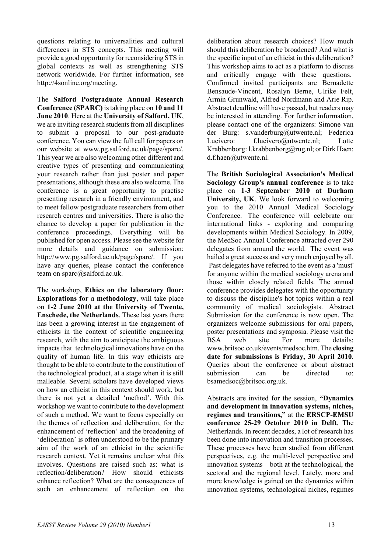questions relating to universalities and cultural differences in STS concepts. This meeting will provide a good opportunity for reconsidering STS in global contexts as well as strengthening STS network worldwide. For further information, see http://4sonline.org/meeting.

The **Salford Postgraduate Annual Research Conference (SPARC)** is taking place on **10 and 11 June 2010**. Here at the **University of Salford, UK**, we are inviting research students from all disciplines to submit a proposal to our post-graduate conference. You can view the full call for papers on our website at www.pg.salford.ac.uk/page/sparc/. This year we are also welcoming other different and creative types of presenting and communicating your research rather than just poster and paper presentations, although these are also welcome. The conference is a great opportunity to practise presenting research in a friendly environment, and to meet fellow postgraduate researchers from other research centres and universities. There is also the chance to develop a paper for publication in the conference proceedings. Everything will be published for open access. Please see the website for more details and guidance on submission: http://www.pg.salford.ac.uk/page/sparc/. If you have any queries, please contact the conference team on sparc@salford.ac.uk.

The workshop, **Ethics on the laboratory floor: Explorations for a methodology**, will take place on **1-2 June 2010 at the University of Twente, Enschede, the Netherlands**. These last years there has been a growing interest in the engagement of ethicists in the context of scientific engineering research, with the aim to anticipate the ambiguous impacts that technological innovations have on the quality of human life. In this way ethicists are thought to be able to contribute to the constitution of the technological product, at a stage when it is still malleable. Several scholars have developed views on how an ethicist in this context should work, but there is not yet a detailed 'method'. With this workshop we want to contribute to the development of such a method. We want to focus especially on the themes of reflection and deliberation, for the enhancement of 'reflection' and the broadening of 'deliberation' is often understood to be the primary aim of the work of an ethicist in the scientific research context. Yet it remains unclear what this involves. Questions are raised such as: what is reflection/deliberation? How should ethicists enhance reflection? What are the consequences of such an enhancement of reflection on the

deliberation about research choices? How much should this deliberation be broadened? And what is the specific input of an ethicist in this deliberation? This workshop aims to act as a platform to discuss and critically engage with these questions. Confirmed invited participants are Bernadette Bensaude-Vincent, Rosalyn Berne, Ulrike Felt, Armin Grunwald, Alfred Nordmann and Arie Rip. Abstract deadline will have passed, but readers may be interested in attending. For further information, please contact one of the organizers: Simone van der Burg: s.vanderburg@utwente.nl; Federica Lucivero: f.lucivero@utwente.nl: Lotte Krabbenborg: l.krabbenborg@rug.nl; or Dirk Haen: d.f.haen@utwente.nl.

The **British Sociological Association's Medical Sociology Group's annual conference** is to take place on **1-3 September 2010 at Durham University, UK**. We look forward to welcoming you to the 2010 Annual Medical Sociology Conference. The conference will celebrate our international links - exploring and comparing developments within Medical Sociology. In 2009, the MedSoc Annual Conference attracted over 290 delegates from around the world. The event was hailed a great success and very much enjoyed by all. Past delegates have referred to the event as a 'must' for anyone within the medical sociology arena and those within closely related fields. The annual conference provides delegates with the opportunity to discuss the discipline's hot topics within a real community of medical sociologists. Abstract Submission for the conference is now open. The organizers welcome submissions for oral papers, poster presentations and symposia. Please visit the BSA web site For more details: www.britsoc.co.uk/events/medsoc.htm. The **closing date for submissions is Friday, 30 April 2010**. Queries about the conference or about abstract submission can be directed to: bsamedsoc@britsoc.org.uk.

Abstracts are invited for the session, **"Dynamics and development in innovation systems, niches, regimes and transitions,"** at the **ERSCP-EMSU conference 25-29 October 2010 in Delft**, The Netherlands. In recent decades, a lot of research has been done into innovation and transition processes. These processes have been studied from different perspectives, e.g. the multi-level perspective and innovation systems – both at the technological, the sectoral and the regional level. Lately, more and more knowledge is gained on the dynamics within innovation systems, technological niches, regimes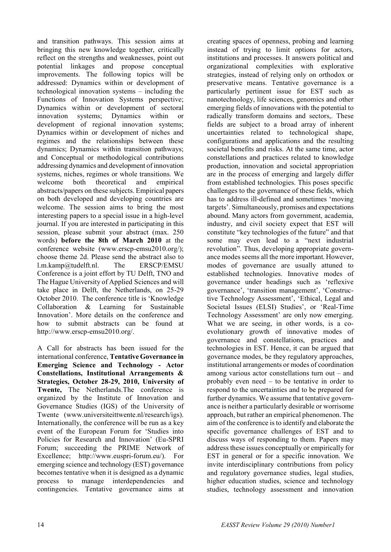and transition pathways. This session aims at bringing this new knowledge together, critically reflect on the strengths and weaknesses, point out potential linkages and propose conceptual improvements. The following topics will be addressed: Dynamics within or development of technological innovation systems – including the Functions of Innovation Systems perspective; Dynamics within or development of sectoral innovation systems; Dynamics within or development of regional innovation systems; Dynamics within or development of niches and regimes and the relationships between these dynamics; Dynamics within transition pathways; and Conceptual or methodological contributions addressing dynamics and development of innovation systems, niches, regimes or whole transitions. We welcome both theoretical and empirical abstracts/papers on these subjects. Empirical papers on both developed and developing countries are welcome. The session aims to bring the most interesting papers to a special issue in a high-level journal. If you are interested in participating in this session, please submit your abstract (max. 250 words) **before the 8th of March 2010** at the conference website (www.erscp-emsu2010.org/); choose theme 2d. Please send the abstract also to l.m.kamp@tudelft.nl. The ERSCP/EMSU Conference is a joint effort by TU Delft, TNO and The Hague University of Applied Sciences and will take place in Delft, the Netherlands, on 25-29 October 2010. The conference title is 'Knowledge Collaboration & Learning for Sustainable Innovation'. More details on the conference and how to submit abstracts can be found at http://www.erscp-emsu2010.org/.

A Call for abstracts has been issued for the international conference, **Tentative Governance in Emerging Science and Technology - Actor Constellations, Institutional Arrangements & Strategies, October 28-29, 2010, University of Twente,** The Netherlands.The conference is organized by the Institute of Innovation and Governance Studies (IGS) of the University of Twente (www.universiteittwente.nl/research/igs). Internationally, the conference will be run as a key event of the European Forum for 'Studies into Policies for Research and Innovation' (Eu-SPRI Forum; succeeding the PRIME Network of Excellence; http://www.euspri-forum.eu/). For emerging science and technology (EST) governance becomes tentative when it is designed as a dynamic process to manage interdependencies and contingencies. Tentative governance aims at

creating spaces of openness, probing and learning instead of trying to limit options for actors, institutions and processes. It answers political and organizational complexities with explorative strategies, instead of relying only on orthodox or preservative means. Tentative governance is a particularly pertinent issue for EST such as nanotechnology, life sciences, genomics and other emerging fields of innovations with the potential to radically transform domains and sectors,. These fields are subject to a broad array of inherent uncertainties related to technological shape, configurations and applications and the resulting societal benefits and risks. At the same time, actor constellations and practices related to knowledge production, innovation and societal appropriation are in the process of emerging and largely differ from established technologies. This poses specific challenges to the governance of these fields, which has to address ill-defined and sometimes 'moving targets'. Simultaneously, promises and expectations abound. Many actors from government, academia, industry, and civil society expect that EST will constitute "key technologies of the future" and that some may even lead to a "next industrial revolution". Thus, developing appropriate governance modes seems all the more important. However, modes of governance are usually attuned to established technologies. Innovative modes of governance under headings such as 'reflexive governance', 'transition management', 'Constructive Technology Assessment', 'Ethical, Legal and Societal Issues (ELSI) Studies', or 'Real-Time Technology Assessment' are only now emerging. What we are seeing, in other words, is a coevolutionary growth of innovative modes of governance and constellations, practices and technologies in EST. Hence, it can be argued that governance modes, be they regulatory approaches, institutional arrangements or modes of coordination among various actor constellations turn out – and probably even need – to be tentative in order to respond to the uncertainties and to be prepared for further dynamics. We assume that tentative governance is neither a particularly desirable or worrisome approach, but rather an empirical phenomenon. The aim of the conference is to identify and elaborate the specific governance challenges of EST and to discuss ways of responding to them. Papers may address these issues conceptually or empirically for EST in general or for a specific innovation. We invite interdisciplinary contributions from policy and regulatory governance studies, legal studies, higher education studies, science and technology studies, technology assessment and innovation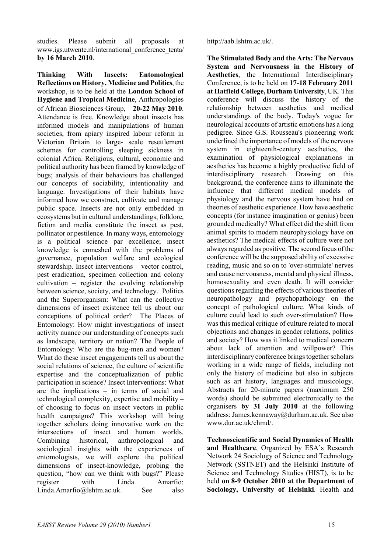studies. Please submit all proposals at www.igs.utwente.nl/international\_conference\_tenta/ **by 16 March 2010**.

**Thinking With Insects: Entomological Reflections on History, Medicine and Politics**, the workshop, is to be held at the **London School of Hygiene and Tropical Medicine**, Anthropologies of African Biosciences Group, **20-22 May 2010**. Attendance is free. Knowledge about insects has informed models and manipulations of human societies, from apiary inspired labour reform in Victorian Britain to large- scale resettlement schemes for controlling sleeping sickness in colonial Africa. Religious, cultural, economic and political authority has been framed by knowledge of bugs; analysis of their behaviours has challenged our concepts of sociability, intentionality and language. Investigations of their habitats have informed how we construct, cultivate and manage public space. Insects are not only embedded in ecosystems but in cultural understandings; folklore, fiction and media constitute the insect as pest, pollinator or pestilence. In many ways, entomology is a political science par excellence; insect knowledge is enmeshed with the problems of governance, population welfare and ecological stewardship. Insect interventions – vector control, pest eradication, specimen collection and colony cultivation – register the evolving relationship between science, society, and technology. Politics and the Superorganism: What can the collective dimensions of insect existence tell us about our conceptions of political order? The Places of Entomology: How might investigations of insect activity nuance our understanding of concepts such as landscape, territory or nation? The People of Entomology: Who are the bug-men and women? What do these insect engagements tell us about the social relations of science, the culture of scientific expertise and the conceptualization of public participation in science? Insect Interventions: What are the implications – in terms of social and technological complexity, expertise and mobility – of choosing to focus on insect vectors in public health campaigns? This workshop will bring together scholars doing innovative work on the intersections of insect and human worlds. Combining historical, anthropological and sociological insights with the experiences of entomologists, we will explore the political dimensions of insect-knowledge, probing the question, "how can we think with bugs?" Please register with Linda Amarfio: Linda.Amarfio@lshtm.ac.uk. See also

http://aab.lshtm.ac.uk/.

**The Stimulated Body and the Arts: The Nervous System and Nervousness in the History of Aesthetics**, the International Interdisciplinary Conference, is to be held on **17-18 February 2011 at Hatfield College, Durham University**, UK. This conference will discuss the history of the relationship between aesthetics and medical understandings of the body. Today's vogue for neurological accounts of artistic emotions has a long pedigree. Since G.S. Rousseau's pioneering work underlined the importance of models of the nervous system in eighteenth-century aesthetics, the examination of physiological explanations in aesthetics has become a highly productive field of interdisciplinary research. Drawing on this background, the conference aims to illuminate the influence that different medical models of physiology and the nervous system have had on theories of aesthetic experience. How have aesthetic concepts (for instance imagination or genius) been grounded medically? What effect did the shift from animal spirits to modern neurophysiology have on aesthetics? The medical effects of culture were not always regarded as positive. The second focus of the conference will be the supposed ability of excessive reading, music and so on to 'over-stimulate' nerves and cause nervousness, mental and physical illness, homosexuality and even death. It will consider questions regarding the effects of various theories of neuropathology and psychopathology on the concept of pathological culture. What kinds of culture could lead to such over-stimulation? How was this medical critique of culture related to moral objections and changes in gender relations, politics and society? How was it linked to medical concern about lack of attention and willpower? This interdisciplinary conference brings together scholars working in a wide range of fields, including not only the history of medicine but also in subjects such as art history, languages and musicology. Abstracts for 20-minute papers (maximum 250 words) should be submitted electronically to the organisers **by 31 July 2010** at the following address: James.kennaway@durham.ac.uk. See also www.dur.ac.uk/chmd/.

**Technoscientific and Social Dynamics of Health and Healthcare**, Organized by ESA's Research Network 24 Sociology of Science and Technology Network (SSTNET) and the Helsinki Institute of Science and Technology Studies (HIST), is to be held **on 8-9 October 2010 at the Department of Sociology, University of Helsinki**. Health and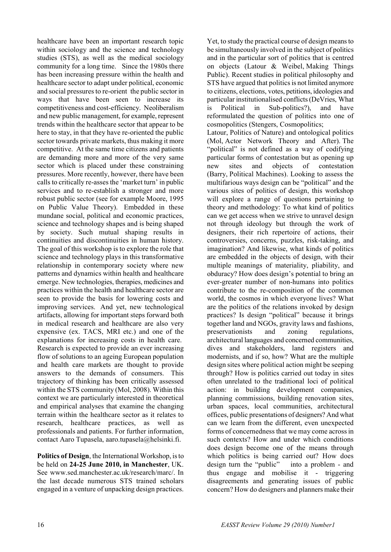healthcare have been an important research topic within sociology and the science and technology studies (STS), as well as the medical sociology community for a long time. Since the 1980s there has been increasing pressure within the health and healthcare sector to adapt under political, economic and social pressures to re-orient the public sector in ways that have been seen to increase its competitiveness and cost-efficiency. Neoliberalism and new public management, for example, represent trends within the healthcare sector that appear to be here to stay, in that they have re-oriented the public sector towards private markets, thus making it more competitive. At the same time citizens and patients are demanding more and more of the very same sector which is placed under these constraining pressures. More recently, however, there have been calls to critically re-asses the 'market turn' in public services and to re-establish a stronger and more robust public sector (see for example Moore, 1995 on Public Value Theory). Embedded in these mundane social, political and economic practices, science and technology shapes and is being shaped by society. Such mutual shaping results in continuities and discontinuities in human history. The goal of this workshop is to explore the role that science and technology plays in this transformative relationship in contemporary society where new patterns and dynamics within health and healthcare emerge. New technologies, therapies, medicines and practices within the health and healthcare sector are seen to provide the basis for lowering costs and improving services. And yet, new technological artifacts, allowing for important steps forward both in medical research and healthcare are also very expensive (ex. TACS, MRI etc.) and one of the explanations for increasing costs in health care. Research is expected to provide an ever increasing flow of solutions to an ageing European population and health care markets are thought to provide answers to the demands of consumers. This trajectory of thinking has been critically assessed within the STS community (Mol, 2008). Within this context we are particularly interested in theoretical and empirical analyses that examine the changing terrain within the healthcare sector as it relates to research, healthcare practices, as well as professionals and patients. For further information, contact Aaro Tupasela, aaro.tupasela@helsinki.fi.

**Politics of Design**, the International Workshop, is to be held on **24-25 June 2010, in Manchester**, UK. See www.sed.manchester.ac.uk/research/marc/. In the last decade numerous STS trained scholars engaged in a venture of unpacking design practices.

Yet, to study the practical course of design means to be simultaneously involved in the subject of politics and in the particular sort of politics that is centred on objects (Latour & Weibel, Making Things Public). Recent studies in political philosophy and STS have argued that politics is not limited anymore to citizens, elections, votes, petitions, ideologies and particular institutionalised conflicts (DeVries, What is Political in Sub-politics?), and have reformulated the question of politics into one of cosmopolitics (Stengers, Cosmopolitics; Latour, Politics of Nature) and ontological politics

(Mol, Actor Network Theory and After). The "political" is not defined as a way of codifying particular forms of contestation but as opening up new sites and objects of contestation (Barry, Political Machines). Looking to assess the multifarious ways design can be "political" and the various sites of politics of design, this workshop will explore a range of questions pertaining to theory and methodology: To what kind of politics can we get access when we strive to unravel design not through ideology but through the work of designers, their rich repertoire of actions, their controversies, concerns, puzzles, risk-taking, and imagination? And likewise, what kinds of politics are embedded in the objects of design, with their multiple meanings of materiality, pliability, and obduracy? How does design's potential to bring an ever-greater number of non-humans into politics contribute to the re-composition of the common world, the cosmos in which everyone lives? What are the politics of the relations invoked by design practices? Is design "political" because it brings together land and NGOs, gravity laws and fashions, preservationists and zoning regulations, architectural languages and concerned communities, dives and stakeholders, land registers and modernists, and if so, how? What are the multiple design sites where political action might be seeping through? How is politics carried out today in sites often unrelated to the traditional loci of political action: in building development companies, planning commissions, building renovation sites, urban spaces, local communities, architectural offices, public presentations of designers? And what can we learn from the different, even unexpected forms of concernedness that we may come across in such contexts? How and under which conditions does design become one of the means through which politics is being carried out? How does design turn the "public" into a problem - and thus engage and mobilise it - triggering disagreements and generating issues of public concern? How do designers and planners make their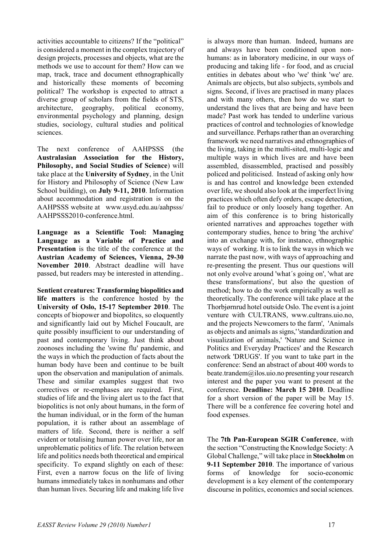activities accountable to citizens? If the "political" is considered a moment in the complex trajectory of design projects, processes and objects, what are the methods we use to account for them? How can we map, track, trace and document ethnographically and historically these moments of becoming political? The workshop is expected to attract a diverse group of scholars from the fields of STS, architecture, geography, political economy, environmental psychology and planning, design studies, sociology, cultural studies and political sciences.

The next conference of AAHPSSS (the **Australasian Association for the History, Philosophy, and Social Studies of Science**) will take place at the **University of Sydney**, in the Unit for History and Philosophy of Science (New Law School building), on **July 9-11, 2010**. Information about accommodation and registration is on the AAHPSSS website at www.usyd.edu.au/aahpsss/ AAHPSSS2010-conference.html

**Language as a Scientific Tool: Managing Language as a Variable of Practice and Presentation** is the title of the conference at the **Austrian Academy of Sciences, Vienna, 29-30 November 2010**. Abstract deadline will have passed, but readers may be interested in attending..

**Sentient creatures: Transforming biopolitics and life matters** is the conference hosted by the **University of Oslo, 15-17 September 2010**. The concepts of biopower and biopolitcs, so eloquently and significantly laid out by Michel Foucault, are quite possibly insufficient to our understanding of past and contemporary living. Just think about zoonoses including the 'swine flu' pandemic, and the ways in which the production of facts about the human body have been and continue to be built upon the observation and manipulation of animals. These and similar examples suggest that two correctives or re-emphases are required. First, studies of life and the living alert us to the fact that biopolitics is not only about humans, in the form of the human individual, or in the form of the human population, it is rather about an assemblage of matters of life. Second, there is neither a self evident or totalising human power over life, nor an unproblematic politics of life. The relation between life and politics needs both theoretical and empirical specificity. To expand slightly on each of these: First, even a narrow focus on the life of living humans immediately takes in nonhumans and other than human lives. Securing life and making life live

is always more than human. Indeed, humans are and always have been conditioned upon nonhumans: as in laboratory medicine, in our ways of producing and taking life - for food, and as crucial entities in debates about who 'we' think 'we' are. Animals are objects, but also subjects, symbols and signs. Second, if lives are practised in many places and with many others, then how do we start to understand the lives that are being and have been made? Past work has tended to underline various practices of control and technologies of knowledge and surveillance. Perhaps rather than an overarching framework we need narratives and ethnographies of the living, taking in the multi-sited, multi-logic and multiple ways in which lives are and have been assembled, disassembled, practised and possibly policed and politicised. Instead of asking only how is and has control and knowledge been extended over life, we should also look at the imperfect living practices which often defy orders, escape detection, fail to produce or only loosely hang together. An aim of this conference is to bring historically oriented narratives and approaches together with contemporary studies, hence to bring 'the archive' into an exchange with, for instance, ethnographic ways of working. It is to link the ways in which we narrate the past now, with ways of approaching and re-presenting the present. Thus our questions will not only evolve around 'what´s going on', 'what are these transformations', but also the question of method; how to do the work empirically as well as theoretically. The conference will take place at the Thorbjørnrud hotel outside Oslo. The event is a joint venture with CULTRANS, www.cultrans.uio.no, and the projects Newcomers to the farm', 'Animals as objects and animals as signs,' 'standardization and visualization of animals,' 'Nature and Science in Politics and Everyday Practices' and the Research network 'DRUGS'. If you want to take part in the conference: Send an abstract of about 400 words to beate.trandem@ilos.uio.no presenting your research interest and the paper you want to present at the conference. **Deadline: March 15 2010**. Deadline for a short version of the paper will be May 15. There will be a conference fee covering hotel and food expenses.

The **7th Pan-European SGIR Conference**, with the section "Constructing the Knowledge Society: A Global Challenge," will take place in **Stockholm** on **9-11 September 2010**. The importance of various forms of knowledge for socio-economic development is a key element of the contemporary discourse in politics, economics and social sciences.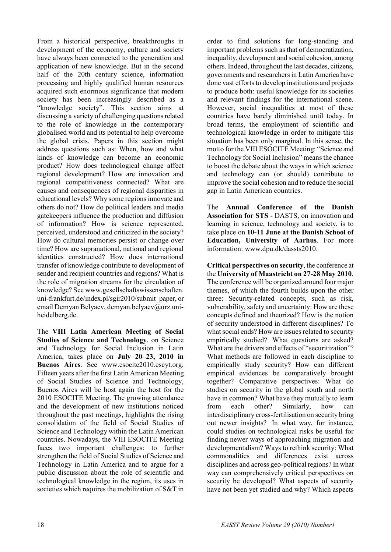From a historical perspective, breakthroughs in development of the economy, culture and society have always been connected to the generation and application of new knowledge. But in the second half of the 20th century science, information processing and highly qualified human resources acquired such enormous significance that modern society has been increasingly described as a "knowledge society". This section aims at discussing a variety of challenging questions related to the role of knowledge in the contemporary globalised world and its potential to help overcome the global crisis. Papers in this section might address questions such as: When, how and what kinds of knowledge can become an economic product? How does technological change affect regional development? How are innovation and regional competitiveness connected? What are causes and consequences of regional disparities in educational levels? Why some regions innovate and others do not? How do political leaders and media gatekeepers influence the production and diffusion of information? How is science represented, perceived, understood and criticized in the society? How do cultural memories persist or change over time? How are supranational, national and regional identities constructed? How does international transfer of knowledge contribute to development of sender and recipient countries and regions? What is the role of migration streams for the circulation of knowledge? See www.gesellschaftswissenschaften. uni-frankfurt.de/index.pl/sgir2010/submit\_paper, or email Demyan Belyaev, demyan.belyaev@urz.uniheidelberg.de.

The **VIII Latin American Meeting of Social Studies of Science and Technology**, on Science and Technology for Social Inclusion in Latin America, takes place on **July 20–23, 2010 in Buenos Aires**. See www.esocite2010.escyt.org. Fifteen years after the first Latin American Meeting of Social Studies of Science and Technology, Buenos Aires will be host again the host for the 2010 ESOCITE Meeting. The growing attendance and the development of new institutions noticed throughout the past meetings, highlights the rising consolidation of the field of Social Studies of Science and Technology within the Latin American countries. Nowadays, the VIII ESOCITE Meeting faces two important challenges: to further strengthen the field of Social Studies of Science and Technology in Latin America and to argue for a public discussion about the role of scientific and technological knowledge in the region, its uses in societies which requires the mobilization of S&T in

order to find solutions for long-standing and important problems such as that of democratization, inequality, development and social cohesion, among others. Indeed, throughout the last decades, citizens, governments and researchers in Latin America have done vast efforts to develop institutions and projects to produce both: useful knowledge for its societies and relevant findings for the international scene. However, social inequalities at most of these countries have barely diminished until today. In broad terms, the employment of scientific and technological knowledge in order to mitigate this situation has been only marginal. In this sense, the motto for the VIII ESOCITE Meeting: "Science and Technology for Social Inclusion" means the chance to boost the debate about the ways in which science and technology can (or should) contribute to improve the social cohesion and to reduce the social gap in Latin American countries.

The **Annual Conference of the Danish Association for STS** - DASTS, on innovation and learning in science, technology and society, is to take place on **10-11 June at the Danish School of Education, University of Aarhus**. For more information: www.dpu.dk/dassts2010.

**Critical perspectives on security**, the conference at the **University of Maastricht on 27-28 May 2010**. The conference will be organized around four major themes, of which the fourth builds upon the other three: Security-related concepts, such as risk, vulnerability, safety and uncertainty: How are these concepts defined and theorized? How is the notion of security understood in different disciplines? To what social ends? How are issues related to security empirically studied? What questions are asked? What are the drivers and effects of "securitization"? What methods are followed in each discipline to empirically study security? How can different empirical evidences be comparatively brought together? Comparative perspectives: What do studies on security in the global south and north have in common? What have they mutually to learn from each other? Similarly, how can interdisciplinary cross-fertilisation on security bring out newer insights? In what way, for instance, could studies on technological risks be useful for finding newer ways of approaching migration and developmentalism? Ways to rethink security: What commonalities and differences exist across disciplines and across geo-political regions? In what way can comprehensively critical perspectives on security be developed? What aspects of security have not been yet studied and why? Which aspects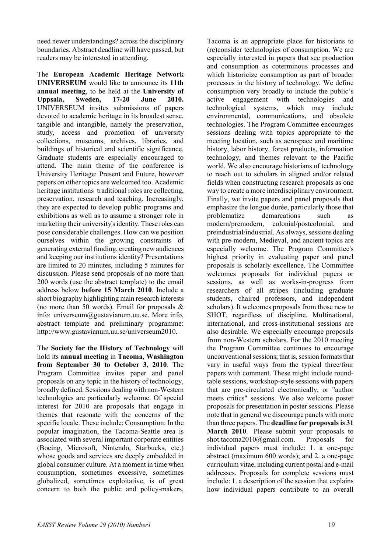need newer understandings? across the disciplinary boundaries. Abstract deadline will have passed, but readers may be interested in attending.

The **European Academic Heritage Network UNIVERSEUM** would like to announce its **11th annual meeting**, to be held at the **University of Uppsala, Sweden, 17-20 June 2010.** UNIVERSEUM invites submissions of papers devoted to academic heritage in its broadest sense, tangible and intangible, namely the preservation, study, access and promotion of university collections, museums, archives, libraries, and buildings of historical and scientific significance. Graduate students are especially encouraged to attend. The main theme of the conference is University Heritage: Present and Future, however papers on other topics are welcomed too. Academic heritage institutions traditional roles are collecting. preservation, research and teaching. Increasingly, they are expected to develop public programs and exhibitions as well as to assume a stronger role in marketing their university's identity. These roles can pose considerable challenges. How can we position ourselves within the growing constraints of generating external funding, creating new audiences and keeping our institutions identity? Presentations are limited to 20 minutes, including 5 minutes for discussion. Please send proposals of no more than 200 words (use the abstract template) to the email address below **before 15 March 2010**. Include a short biography highlighting main research interests (no more than 50 words). Email for proposals  $\&$ info: universeum@gustavianum.uu.se. More info, abstract template and preliminary programme: http://www.gustavianum.uu.se/universeum2010.

The **Society for the History of Technology** will hold its **annual meeting** in **Tacoma, Washington from September 30 to October 3, 2010**. The Program Committee invites paper and panel proposals on any topic in the history of technology, broadly defined. Sessions dealing with non-Western technologies are particularly welcome. Of special interest for 2010 are proposals that engage in themes that resonate with the concerns of the specific locale. These include: Consumption: In the popular imagination, the Tacoma-Seattle area is associated with several important corporate entities (Boeing, Microsoft, Nintendo, Starbucks, etc.) whose goods and services are deeply embedded in global consumer culture. At a moment in time when consumption, sometimes excessive, sometimes globalized, sometimes exploitative, is of great concern to both the public and policy-makers,

Tacoma is an appropriate place for historians to (re)consider technologies of consumption. We are especially interested in papers that see production and consumption as coterminous processes and which historicize consumption as part of broader processes in the history of technology. We define consumption very broadly to include the public's active engagement with technologies and technological systems, which may include environmental, communications, and obsolete technologies. The Program Committee encourages sessions dealing with topics appropriate to the meeting location, such as aerospace and maritime history, labor history, forest products, information technology, and themes relevant to the Pacific world. We also encourage historians of technology to reach out to scholars in aligned and/or related fields when constructing research proposals as one way to create a more interdisciplinary environment. Finally, we invite papers and panel proposals that emphasize the longue durée, particularly those that problematize demarcations such as modern/premodern, colonial/postcolonial, and preindustrial/industrial. As always, sessions dealing with pre-modern, Medieval, and ancient topics are especially welcome. The Program Committee's highest priority in evaluating paper and panel proposals is scholarly excellence. The Committee welcomes proposals for individual papers or sessions, as well as works-in-progress from researchers of all stripes (including graduate students, chaired professors, and independent scholars). It welcomes proposals from those new to SHOT, regardless of discipline. Multinational, international, and cross-institutional sessions are also desirable. We especially encourage proposals from non-Western scholars. For the 2010 meeting the Program Committee continues to encourage unconventional sessions; that is, session formats that vary in useful ways from the typical three/four papers with comment. These might include roundtable sessions, workshop-style sessions with papers that are pre-circulated electronically, or "author meets critics" sessions. We also welcome poster proposals for presentation in poster sessions. Please note that in general we discourage panels with more than three papers. The **deadline for proposals is 31 March 2010**. Please submit your proposals to shot.tacoma2010@gmail.com. Proposals for individual papers must include: 1. a one-page abstract (maximum 600 words); and 2. a one-page curriculum vitae, including current postal and e-mail addresses. Proposals for complete sessions must include: 1. a description of the session that explains how individual papers contribute to an overall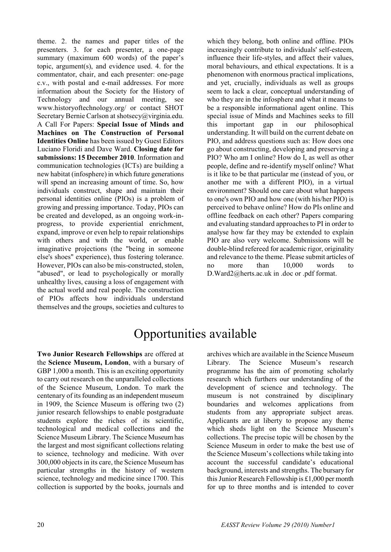theme. 2. the names and paper titles of the presenters. 3. for each presenter, a one-page summary (maximum 600 words) of the paper's topic, argument(s), and evidence used. 4. for the commentator, chair, and each presenter: one-page c.v., with postal and e-mail addresses. For more information about the Society for the History of Technology and our annual meeting, see www.historyoftechnology.org/ or contact SHOT Secretary Bernie Carlson at shotsecy@virginia.edu. A Call For Papers: **Special Issue of Minds and Machines on The Construction of Personal Identities Online** has been issued by Guest Editors Luciano Floridi and Dave Ward. **Closing date for submissions: 15 December 2010**. Information and communication technologies (ICTs) are building a new habitat (infosphere) in which future generations will spend an increasing amount of time. So, how individuals construct, shape and maintain their personal identities online (PIOs) is a problem of growing and pressing importance. Today, PIOs can be created and developed, as an ongoing work-inprogress, to provide experiential enrichment, expand, improve or even help to repair relationships with others and with the world, or enable imaginative projections (the "being in someone else's shoes" experience), thus fostering tolerance. However, PIOs can also be mis-constructed, stolen, "abused", or lead to psychologically or morally unhealthy lives, causing a loss of engagement with the actual world and real people. The construction of PIOs affects how individuals understand themselves and the groups, societies and cultures to

which they belong, both online and offline. PIOs increasingly contribute to individuals' self-esteem, influence their life-styles, and affect their values, moral behaviours, and ethical expectations. It is a phenomenon with enormous practical implications, and yet, crucially, individuals as well as groups seem to lack a clear, conceptual understanding of who they are in the infosphere and what it means to be a responsible informational agent online. This special issue of Minds and Machines seeks to fill this important gap in our philosophical understanding. It will build on the current debate on PIO, and address questions such as: How does one go about constructing, developing and preserving a PIO? Who am I online? How do I, as well as other people, define and re-identify myself online? What is it like to be that particular me (instead of you, or another me with a different PIO), in a virtual environment? Should one care about what happens to one's own PIO and how one (with his/her PIO) is perceived to behave online? How do PIs online and offline feedback on each other? Papers comparing and evaluating standard approaches to PI in order to analyse how far they may be extended to explain PIO are also very welcome. Submissions will be double-blind refereed for academic rigor, originality and relevance to the theme. Please submit articles of no more than 10,000 words to D.Ward2@herts.ac.uk in .doc or .pdf format.

# Opportunities available

**Two Junior Research Fellowships** are offered at the **Science Museum, London**, with a bursary of GBP 1,000 a month. This is an exciting opportunity to carry out research on the unparalleled collections of the Science Museum, London. To mark the centenary of its founding as an independent museum in 1909, the Science Museum is offering two (2) junior research fellowships to enable postgraduate students explore the riches of its scientific, technological and medical collections and the Science Museum Library. The Science Museum has the largest and most significant collections relating to science, technology and medicine. With over 300,000 objects in its care, the Science Museum has particular strengths in the history of western science, technology and medicine since 1700. This collection is supported by the books, journals and archives which are available in the Science Museum Library. The Science Museum's research programme has the aim of promoting scholarly research which furthers our understanding of the development of science and technology. The museum is not constrained by disciplinary boundaries and welcomes applications from students from any appropriate subject areas. Applicants are at liberty to propose any theme which sheds light on the Science Museum's collections. The precise topic will be chosen by the Science Museum in order to make the best use of the Science Museum's collections while taking into account the successful candidate's educational background, interests and strengths. The bursary for this Junior Research Fellowship is £1,000 per month for up to three months and is intended to cover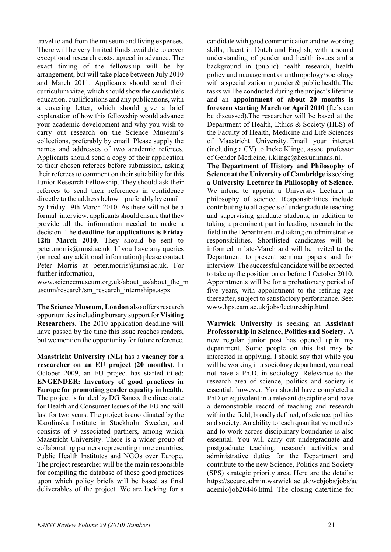travel to and from the museum and living expenses. There will be very limited funds available to cover exceptional research costs, agreed in advance. The exact timing of the fellowship will be by arrangement, but will take place between July 2010 and March 2011. Applicants should send their curriculum vitae, which should show the candidate's education, qualifications and any publications, with a covering letter, which should give a brief explanation of how this fellowship would advance your academic development and why you wish to carry out research on the Science Museum's collections, preferably by email. Please supply the names and addresses of two academic referees. Applicants should send a copy of their application to their chosen referees before submission, asking their referees to comment on their suitability for this Junior Research Fellowship. They should ask their referees to send their references in confidence directly to the address below – preferably by email – by Friday 19th March 2010. As there will not be a formal interview, applicants should ensure that they provide all the information needed to make a decision. The **deadline for applications is Friday 12th March 2010**. They should be sent to peter.morris@nmsi.ac.uk. If you have any queries (or need any additional information) please contact Peter Morris at peter.morris@nmsi.ac.uk. For further information,

www.sciencemuseum.org.uk/about\_us/about\_the\_m useum/research/sm\_research\_internships.aspx

**The Science Museum, London** also offers research opportunities including bursary support for **Visiting Researchers.** The 2010 application deadline will have passed by the time this issue reaches readers, but we mention the opportunity for future reference.

**Maastricht University (NL)** has a **vacancy for a researcher on an EU project (20 months)**. In October 2009, an EU project has started titled: **ENGENDER: Inventory of good practices in Europe for promoting gender equality in health**. The project is funded by DG Sanco, the directorate for Health and Consumer Issues of the EU and will last for two years. The project is coordinated by the Karolinska Institute in Stockholm Sweden, and consists of 9 associated partners, among which Maastricht University. There is a wider group of collaborating partners representing more countries, Public Health Institutes and NGOs over Europe. The project researcher will be the main responsible for compiling the database of those good practices upon which policy briefs will be based as final deliverables of the project. We are looking for a

candidate with good communication and networking skills, fluent in Dutch and English, with a sound understanding of gender and health issues and a background in (public) health research, health policy and management or anthropology/sociology with a specialization in gender & public health. The tasks will be conducted during the project's lifetime and an **appointment of about 20 months is foreseen starting March or April 2010** (fte's can be discussed).The researcher will be based at the Department of Health, Ethics & Society (HES) of the Faculty of Health, Medicine and Life Sciences of Maastricht University. Email your interest (including a CV) to Ineke Klinge, assoc. professor of Gender Medicine, i.klinge@hes.unimaas.nl.

**The Department of History and Philosophy of Science at the University of Cambridge** is seeking a **University Lecturer in Philosophy of Science**. We intend to appoint a University Lecturer in philosophy of science. Responsibilities include contributing to all aspects of undergraduate teaching and supervising graduate students, in addition to taking a prominent part in leading research in the field in the Department and taking on administrative responsibilities. Shortlisted candidates will be informed in late-March and will be invited to the Department to present seminar papers and for interview. The successful candidate will be expected to take up the position on or before 1 October 2010. Appointments will be for a probationary period of five years, with appointment to the retiring age thereafter, subject to satisfactory performance. See: www.hps.cam.ac.uk/jobs/lectureship.html.

**Warwick University** is seeking an **Assistant Professorship in Science, Politics and Society.** A new regular junior post has opened up in my department. Some people on this list may be interested in applying. I should say that while you will be working in a sociology department, you need not have a Ph.D. in sociology. Relevance to the research area of science, politics and society is essential, however. You should have completed a PhD or equivalent in a relevant discipline and have a demonstrable record of teaching and research within the field, broadly defined, of science, politics and society. An ability to teach quantitative methods and to work across disciplinary boundaries is also essential. You will carry out undergraduate and postgraduate teaching, research activities and administrative duties for the Department and contribute to the new Science, Politics and Society (SPS) strategic priority area. Here are the details: https://secure.admin.warwick.ac.uk/webjobs/jobs/ac ademic/job20446.html. The closing date/time for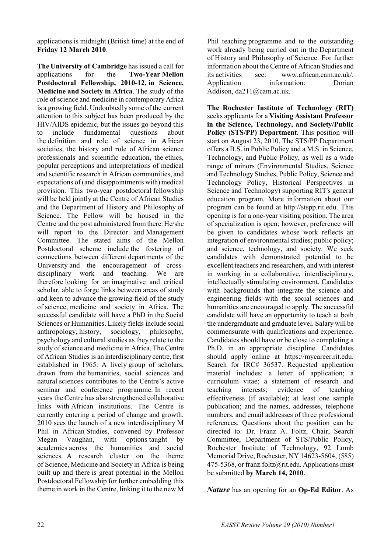applications is midnight (British time) at the end of **Friday 12 March 2010**.

**The University of Cambridge** has issued a call for applications for the **Two-Year Mellon Postdoctoral Fellowship, 2010-12, in Science, Medicine and Society in Africa**. The study of the role of science and medicine in contemporary Africa is a growing field. Undoubtedly some of the current attention to this subject has been produced by the HIV/AIDS epidemic, but the issues go beyond this to include fundamental questions about the definition and role of science in African societies, the history and role of African science professionals and scientific education, the ethics, popular perceptions and interpretations of medical and scientific research in African communities, and expectations of (and disappointments with) medical provision. This two-year postdoctoral fellowship will be held jointly at the Centre of African Studies and the Department of History and Philosophy of Science. The Fellow will be housed in the Centre and the post administered from there. He/she will report to the Director and Management Committee. The stated aims of the Mellon Postdoctoral scheme include the fostering of connections between different departments of the University and the encouragement of crossdisciplinary work and teaching. We are therefore looking for an imaginative and critical scholar, able to forge links between areas of study and keen to advance the growing field of the study of science, medicine and society in Africa. The successful candidate will have a PhD in the Social Sciences or Humanities. Likely fields include social anthropology, history, sociology, philosophy, psychology and cultural studies as they relate to the study of science and medicine in Africa. The Centre of African Studies is an interdisciplinary centre, first established in 1965. A lively group of scholars, drawn from the humanities, social sciences and natural sciences contributes to the Centre's active seminar and conference programme. In recent years the Centre has also strengthened collaborative links with African institutions. The Centre is currently entering a period of change and growth. 2010 sees the launch of a new interdisciplinary M Phil in African Studies, convened by Professor Megan Vaughan, with options taught by academics across the humanities and social sciences. A research cluster on the theme of Science, Medicine and Society in Africa is being built up and there is great potential in the Mellon Postdoctoral Fellowship for further embedding this theme in work in the Centre, linking it to the new M

Phil teaching programme and to the outstanding work already being carried out in the Department of History and Philosophy of Science. For further information about the Centre of African Studies and its activities see: www.african.cam.ac.uk/. Application information: Dorian Addison, da211@cam.ac.uk.

**The Rochester Institute of Technology (RIT)** seeks applicants for a **Visiting Assistant Professor in the Science, Technology, and Society/Public Policy (STS/PP) Department**. This position will start on August 23, 2010. The STS/PP Department offers a B.S. in Public Policy and a M.S. in Science, Technology, and Public Policy, as well as a wide range of minors (Environmental Studies, Science and Technology Studies, Public Policy, Science and Technology Policy, Historical Perspectives in Science and Technology) supporting RIT's general education program. More information about our program can be found at http://stspp.rit.edu. This opening is for a one-year visiting position. The area of specialization is open; however, preference will be given to candidates whose work reflects an integration of environmental studies; public policy; and science, technology, and society. We seek candidates with demonstrated potential to be excellent teachers and researchers, and with interest in working in a collaborative, interdisciplinary, intellectually stimulating environment. Candidates with backgrounds that integrate the science and engineering fields with the social sciences and humanities are encouraged to apply. The successful candidate will have an opportunity to teach at both the undergraduate and graduate level. Salary will be commensurate with qualifications and experience. Candidates should have or be close to completing a Ph.D. in an appropriate discipline. Candidates should apply online at https://mycareer.rit.edu. Search for IRC# 36537. Requested application material includes: a letter of application; a curriculum vitae; a statement of research and teaching interests; evidence of teaching effectiveness (if available); at least one sample publication; and the names, addresses, telephone numbers, and email addresses of three professional references. Questions about the position can be directed to: Dr. Franz A. Foltz, Chair, Search Committee, Department of STS/Public Policy, Rochester Institute of Technology, 92 Lomb Memorial Drive, Rochester, NY 14623-5604, (585) 475-5368, or franz.foltz@rit.edu. Applications must be submitted **by March 14, 2010**.

*Nature* has an opening for an **Op-Ed Editor**. As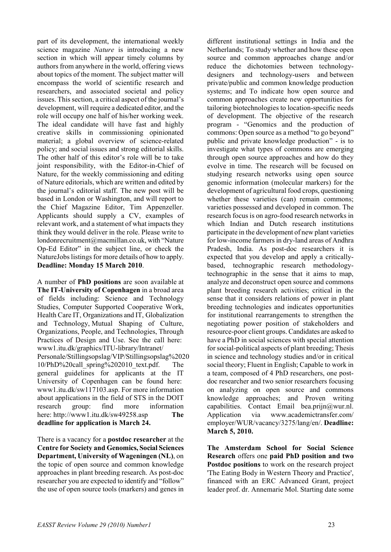part of its development, the international weekly science magazine *Nature* is introducing a new section in which will appear timely columns by authors from anywhere in the world, offering views about topics of the moment. The subject matter will encompass the world of scientific research and researchers, and associated societal and policy issues. This section, a critical aspect of the journal's development, will require a dedicated editor, and the role will occupy one half of his/her working week. The ideal candidate will have fast and highly creative skills in commissioning opinionated material; a global overview of science-related policy; and social issues and strong editorial skills. The other half of this editor's role will be to take joint responsibility, with the Editor-in-Chief of Nature, for the weekly commissioning and editing of Nature editorials, which are written and edited by the journal's editorial staff. The new post will be based in London or Washington, and will report to the Chief Magazine Editor, Tim Appenzeller. Applicants should supply a CV, examples of relevant work, and a statement of what impacts they think they would deliver in the role. Please write to londonrecruitment@macmillan.co.uk, with "Nature Op-Ed Editor" in the subject line, or check the NatureJobs listings for more details of how to apply. **Deadline: Monday 15 March 2010**.

A number of **PhD positions** are soon available at **The IT-University of Copenhagen** in a broad area of fields including: Science and Technology Studies, Computer Supported Cooperative Work, Health Care IT, Organizations and IT, Globalization and Technology, Mutual Shaping of Culture, Organizations, People, and Technologies, Through Practices of Design and Use. See the call here: www1.itu.dk/graphics/ITU-library/Intranet/ Personale/Stillingsopslag/VIP/Stillingsopslag%2020 10/PhD%20call\_spring%202010\_text.pdf. The general guidelines for applicants at the IT University of Copenhagen can be found here: www1.itu.dk/sw117103.asp. For more information about applications in the field of STS in the DOIT research group: find more information here: http://www1.itu.dk/sw49258.asp **The deadline for application is March 24.**

There is a vacancy for a **postdoc researcher** at the **Centre for Society and Genomics, Social Sciences Department, University of Wageningen (NL)**, on the topic of open source and common knowledge approaches in plant breeding research. As post-doc researcher you are expected to identify and "follow" the use of open source tools (markers) and genes in different institutional settings in India and the Netherlands; To study whether and how these open source and common approaches change and/or reduce the dichotomies between technologydesigners and technology-users and between private/public and common knowledge production systems; and To indicate how open source and common approaches create new opportunities for tailoring biotechnologies to location-specific needs of development. The objective of the research program - "Genomics and the production of commons: Open source as a method "to go beyond" public and private knowledge production" - is to investigate what types of commons are emerging through open source approaches and how do they evolve in time. The research will be focused on studying research networks using open source genomic information (molecular markers) for the development of agricultural food crops, questioning whether these varieties (can) remain commons; varieties possessed and developed in common. The research focus is on agro-food research networks in which Indian and Dutch research institutions participate in the development of new plant varieties for low-income farmers in dry-land areas of Andhra Pradesh, India. As post-doc researchers it is expected that you develop and apply a criticallybased, technographic research methodologytechnographic in the sense that it aims to map, analyze and deconstruct open source and commons plant breeding research activities; critical in the sense that it considers relations of power in plant breeding technologies and indicates opportunities for institutional rearrangements to strengthen the negotiating power position of stakeholders and resource-poor client groups. Candidates are asked to have a PhD in social sciences with special attention for social-political aspects of plant breeding; Thesis in science and technology studies and/or in critical social theory; Fluent in English; Capable to work in a team, composed of 4 PhD researchers, one postdoc researcher and two senior researchers focusing on analyzing on open source and commons knowledge approaches; and Proven writing capabilities. Contact Email bea.prijn@wur.nl. Application via www.academictransfer.com/ employer/WUR/vacancy/3275/lang/en/. **Deadline: March 5, 2010.**

**The Amsterdam School for Social Science Research** offers one **paid PhD position and two Postdoc positions** to work on the research project 'The Eating Body in Western Theory and Practice', financed with an ERC Advanced Grant, project leader prof. dr. Annemarie Mol. Starting date some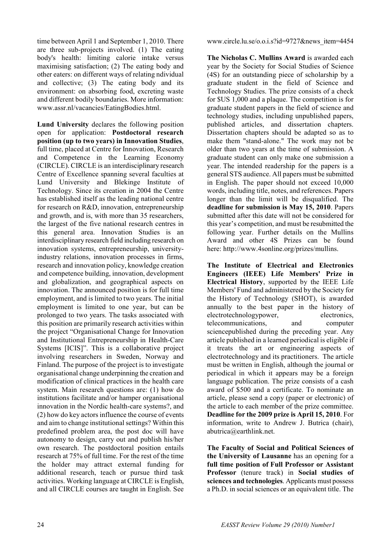time between April 1 and September 1, 2010. There are three sub-projects involved. (1) The eating body's health: limiting calorie intake versus maximising satisfaction; (2) The eating body and other eaters: on different ways of relating ndividual and collective; (3) The eating body and its environment: on absorbing food, excreting waste and different bodily boundaries. More information: www.assr.nl/vacancies/EatingBodies.html.

**Lund University** declares the following position open for application: **Postdoctoral research position (up to two years) in Innovation Studies**, full time, placed at Centre for Innovation, Research and Competence in the Learning Economy (CIRCLE). CIRCLE is an interdisciplinary research Centre of Excellence spanning several faculties at Lund University and Blekinge Institute of Technology. Since its creation in 2004 the Centre has established itself as the leading national centre for research on R&D, innovation, entrepreneurship and growth, and is, with more than 35 researchers, the largest of the five national research centres in this general area. Innovation Studies is an interdisciplinary research field including research on innovation systems, entrepreneurship, universityindustry relations, innovation processes in firms, research and innovation policy, knowledge creation and competence building, innovation, development and globalization, and geographical aspects on innovation. The announced position is for full time employment, and is limited to two years. The initial employment is limited to one year, but can be prolonged to two years. The tasks associated with this position are primarily research activities within the project "Organisational Change for Innovation and Institutional Entrepreneurship in Health-Care Systems [ICIS]". This is a collaborative project involving researchers in Sweden, Norway and Finland. The purpose of the project is to investigate organisational change underpinning the creation and modification of clinical practices in the health care system. Main research questions are: (1) how do institutions facilitate and/or hamper organisational innovation in the Nordic health-care systems?, and (2) how do key actors influence the course of events and aim to change institutional settings? Within this predefined problem area, the post doc will have autonomy to design, carry out and publish his/her own research. The postdoctoral position entails research at 75% of full time. For the rest of the time the holder may attract external funding for additional research, teach or pursue third task activities. Working language at CIRCLE is English, and all CIRCLE courses are taught in English. See

www.circle.lu.se/o.o.i.s?id=9727&news\_item=4454

**The Nicholas C. Mullins Award** is awarded each year by the Society for Social Studies of Science (4S) for an outstanding piece of scholarship by a graduate student in the field of Science and Technology Studies. The prize consists of a check for \$US 1,000 and a plaque. The competition is for graduate student papers in the field of science and technology studies, including unpublished papers, published articles, and dissertation chapters. Dissertation chapters should be adapted so as to make them "stand-alone." The work may not be older than two years at the time of submission. A graduate student can only make one submission a year. The intended readership for the papers is a general STS audience. All papers must be submitted in English. The paper should not exceed 10,000 words, including title, notes, and references. Papers longer than the limit will be disqualified. The **deadline for submission is May 15, 2010**. Papers submitted after this date will not be considered for this year's competition, and must be resubmitted the following year. Further details on the Mullins Award and other 4S Prizes can be found here: http://www.4sonline.org/prizes/mullins.

**The Institute of Electrical and Electronics Engineers (IEEE) Life Members' Prize in Electrical History**, supported by the IEEE Life Members' Fund and administered by the Society for the History of Technology (SHOT), is awarded annually to the best paper in the history of electrotechnologypower, electronics, telecommunications, and computer sciencepublished during the preceding year. Any article published in a learned periodical is eligible if it treats the art or engineering aspects of electrotechnology and its practitioners. The article must be written in English, although the journal or periodical in which it appears may be a foreign language publication. The prize consists of a cash award of \$500 and a certificate. To nominate an article, please send a copy (paper or electronic) of the article to each member of the prize committee. **Deadline for the 2009 prize is April 15, 2010**. For information, write to Andrew J. Butrica (chair), abutrica@earthlink.net.

**The Faculty of Social and Political Sciences of the University of Lausanne** has an opening for a **full time position of Full Professor or Assistant Professor** (tenure track) in **Social studies of sciences and technologies**. Applicants must possess a Ph.D. in social sciences or an equivalent title. The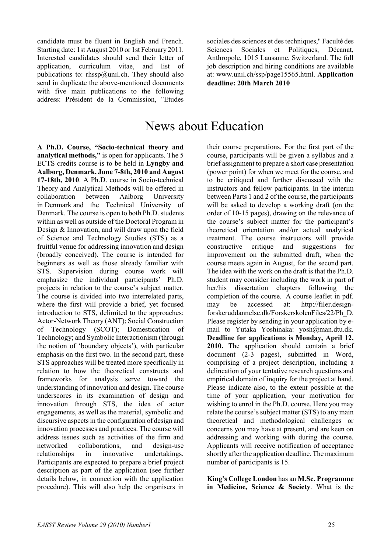candidate must be fluent in English and French. Starting date: 1st August 2010 or 1st February 2011. Interested candidates should send their letter of application, curriculum vitae, and list of publications to: rhssp $@$ unil.ch. They should also send in duplicate the above-mentioned documents with five main publications to the following address: Président de la Commission, "Etudes

sociales des sciences et des techniques," Faculté des Sciences Sociales et Politiques, Décanat, Anthropole, 1015 Lausanne, Switzerland. The full job description and hiring conditions are available at: www.unil.ch/ssp/page15565.html. **Application deadline: 20th March 2010**

# News about Education

**A Ph.D. Course, "Socio-technical theory and analytical methods,"** is open for applicants. The 5 ECTS credits course is to be held in **Lyngby and Aalborg, Denmark, June 7-8th, 2010 and August 17-18th, 2010**. A Ph.D. course in Socio-technical Theory and Analytical Methods will be offered in collaboration between Aalborg University in Denmark and the Technical University of Denmark. The course is open to both Ph.D. students within as well as outside of the Doctoral Program in Design & Innovation, and will draw upon the field of Science and Technology Studies (STS) as a fruitful venue for addressing innovation and design (broadly conceived). The course is intended for beginners as well as those already familiar with STS. Supervision during course work will emphasize the individual participants' Ph.D. projects in relation to the course's subject matter. The course is divided into two interrelated parts, where the first will provide a brief, yet focused introduction to STS, delimited to the approaches: Actor-Network Theory (ANT); Social Construction of Technology (SCOT); Domestication of Technology; and Symbolic Interactionism (through the notion of 'boundary objects'), with particular emphasis on the first two. In the second part, these STS approaches will be treated more specifically in relation to how the theoretical constructs and frameworks for analysis serve toward the understanding of innovation and design. The course underscores in its examination of design and innovation through STS, the idea of actor engagements, as well as the material, symbolic and discursive aspects in the configuration of design and innovation processes and practices. The course will address issues such as activities of the firm and networked collaborations, and design-use relationships in innovative undertakings. Participants are expected to prepare a brief project description as part of the application (see further details below, in connection with the application procedure). This will also help the organisers in

their course preparations. For the first part of the course, participants will be given a syllabus and a brief assignment to prepare a short case presentation (power point) for when we meet for the course, and to be critiqued and further discussed with the instructors and fellow participants. In the interim between Parts 1 and 2 of the course, the participants will be asked to develop a working draft (on the order of 10-15 pages), drawing on the relevance of the course's subject matter for the participant's theoretical orientation and/or actual analytical treatment. The course instructors will provide constructive critique and suggestions for improvement on the submitted draft, when the course meets again in August, for the second part. The idea with the work on the draft is that the Ph.D. student may consider including the work in part of her/his dissertation chapters following the completion of the course. A course leaflet in pdf. may be accessed at: http://filer.designforskeruddannelse.dk/ForskerskolenFiles/22/Ph\_D. Please register by sending in your application by email to Yutaka Yoshinaka: yosh@man.dtu.dk. **Deadline for applications is Monday, April 12, 2010.** The application should contain a brief document (2-3 pages), submitted in Word, comprising of a project description, including a delineation of your tentative research questions and empirical domain of inquiry for the project at hand. Please indicate also, to the extent possible at the time of your application, your motivation for wishing to enrol in the Ph.D. course. Here you may relate the course's subject matter (STS) to any main theoretical and methodological challenges or concerns you may have at present, and are keen on addressing and working with during the course. Applicants will receive notification of acceptance shortly after the application deadline. The maximum number of participants is 15.

**King's College London** has an **M.Sc. Programme in Medicine, Science & Society**. What is the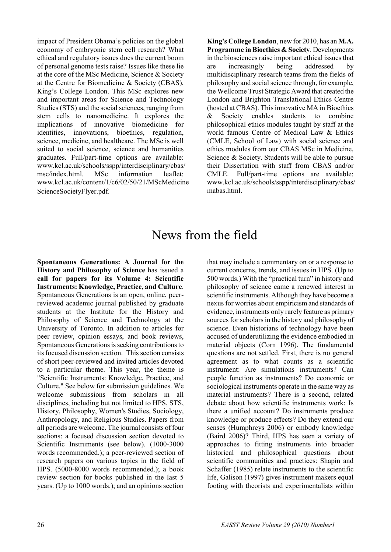impact of President Obama's policies on the global economy of embryonic stem cell research? What ethical and regulatory issues does the current boom of personal genome tests raise? Issues like these lie at the core of the MSc Medicine, Science & Society at the Centre for Biomedicine & Society (CBAS), King's College London. This MSc explores new and important areas for Science and Technology Studies (STS) and the social sciences, ranging from stem cells to nanomedicine. It explores the implications of innovative biomedicine for identities, innovations, bioethics, regulation, science, medicine, and healthcare. The MSc is well suited to social science, science and humanities graduates. Full/part-time options are available: www.kcl.ac.uk/schools/sspp/interdisciplinary/cbas/ msc/index.html. MSc information leaflet: www.kcl.ac.uk/content/1/c6/02/50/21/MScMedicine ScienceSocietyFlyer.pdf.

**King's College London**, new for 2010, has an **M.A. Programme in Bioethics & Society**. Developments in the biosciences raise important ethical issues that are increasingly being addressed by multidisciplinary research teams from the fields of philosophy and social science through, for example, the Wellcome Trust Strategic Award that created the London and Brighton Translational Ethics Centre (hosted at CBAS). This innovative MA in Bioethics & Society enables students to combine philosophical ethics modules taught by staff at the world famous Centre of Medical Law & Ethics (CMLE, School of Law) with social science and ethics modules from our CBAS MSc in Medicine, Science & Society. Students will be able to pursue their Dissertation with staff from CBAS and/or CMLE. Full/part-time options are available: www.kcl.ac.uk/schools/sspp/interdisciplinary/cbas/ mabas.html.

# News from the field

**Spontaneous Generations: A Journal for the History and Philosophy of Science** has issued a **call for papers for its Volume 4: Scientific Instruments: Knowledge, Practice, and Culture**. Spontaneous Generations is an open, online, peerreviewed academic journal published by graduate students at the Institute for the History and Philosophy of Science and Technology at the University of Toronto. In addition to articles for peer review, opinion essays, and book reviews, Spontaneous Generations is seeking contributions to its focused discussion section. This section consists of short peer-reviewed and invited articles devoted to a particular theme. This year, the theme is "Scientific Instruments: Knowledge, Practice, and Culture." See below for submission guidelines. We welcome submissions from scholars in all disciplines, including but not limited to HPS, STS, History, Philosophy, Women's Studies, Sociology, Anthropology, and Religious Studies. Papers from all periods are welcome. The journal consists of four sections: a focused discussion section devoted to Scientific Instruments (see below). (1000-3000 words recommended.); a peer-reviewed section of research papers on various topics in the field of HPS. (5000-8000 words recommended.); a book review section for books published in the last 5 years. (Up to 1000 words.); and an opinions section that may include a commentary on or a response to current concerns, trends, and issues in HPS. (Up to 500 words.) With the "practical turn" in history and philosophy of science came a renewed interest in scientific instruments. Although they have become a nexus for worries about empiricism and standards of evidence, instruments only rarely feature as primary sources for scholars in the history and philosophy of science. Even historians of technology have been accused of underutilizing the evidence embodied in material objects (Corn 1996). The fundamental questions are not settled. First, there is no general agreement as to what counts as a scientific instrument: Are simulations instruments? Can people function as instruments? Do economic or sociological instruments operate in the same way as material instruments? There is a second, related debate about how scientific instruments work: Is there a unified account? Do instruments produce knowledge or produce effects? Do they extend our senses (Humphreys 2006) or embody knowledge (Baird 2006)? Third, HPS has seen a variety of approaches to fitting instruments into broader historical and philosophical questions about scientific communities and practices: Shapin and Schaffer (1985) relate instruments to the scientific life, Galison (1997) gives instrument makers equal footing with theorists and experimentalists within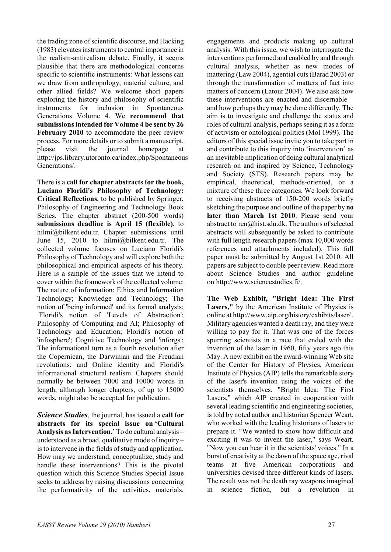the trading zone of scientific discourse, and Hacking (1983) elevates instruments to central importance in the realism-antirealism debate. Finally, it seems plausible that there are methodological concerns specific to scientific instruments: What lessons can we draw from anthropology, material culture, and other allied fields? We welcome short papers exploring the history and philosophy of scientific instruments for inclusion in Spontaneous Generations Volume 4. We **recommend that submissions intended for Volume 4 be sent by 26**  February 2010 to accommodate the peer review process. For more details or to submit a manuscript, please visit the journal homepage at http://jps.library.utoronto.ca/index.php/Spontaneous Generations/.

There is a **call for chapter abstracts for the book, Luciano Floridi's Philosophy of Technology: Critical Reflections**, to be published by Springer, Philosophy of Engineering and Technology Book Series. The chapter abstract (200-500 words) **submissions deadline is April 15 (flexible)**, to hilmi@bilkent.edu.tr. Chapter submissions until June 15, 2010 to hilmi@bilkent.edu.tr. The collected volume focuses on Luciano Floridi's Philosophy of Technology and will explore both the philosophical and empirical aspects of his theory. Here is a sample of the issues that we intend to cover within the framework of the collected volume: The nature of information; Ethics and Information Technology; Knowledge and Technology; The notion of 'being informed' and its formal analysis; Floridi's notion of 'Levels of Abstraction'; Philosophy of Computing and AI; Philosophy of Technology and Education; Floridi's notion of 'infosphere'; Cognitive Technology and 'inforgs'; The informational turn as a fourth revolution after the Copernican, the Darwinian and the Freudian revolutions; and Online identity and Floridi's informational structural realism. Chapters should normally be between 7000 and 10000 words in length, although longer chapters, of up to 15000 words, might also be accepted for publication.

*Science Studies*, the journal, has issued a **call for abstracts for its special issue on 'Cultural Analysis as Intervention.'** To do cultural analysis – understood as a broad, qualitative mode of inquiry – is to intervene in the fields of study and application. How may we understand, conceptualize, study and handle these interventions? This is the pivotal question which this Science Studies Special Issue seeks to address by raising discussions concerning the performativity of the activities, materials,

engagements and products making up cultural analysis. With this issue, we wish to interrogate the interventions performed and enabled by and through cultural analysis, whether as new modes of mattering (Law 2004), agential cuts (Barad 2003) or through the transformation of matters of fact into matters of concern (Latour 2004). We also ask how these interventions are enacted and discernable – and how perhaps they may be done differently. The aim is to investigate and challenge the status and roles of cultural analysis, perhaps seeing it as a form of activism or ontological politics (Mol 1999). The editors of this special issue invite you to take part in and contribute to this inquiry into 'intervention' as an inevitable implication of doing cultural analytical research on and inspired by Science, Technology and Society (STS). Research papers may be empirical, theoretical, methods-oriented, or a mixture of these three categories. We look forward to receiving abstracts of 150-200 words briefly sketching the purpose and outline of the paper by **no later than March 1st 2010**. Please send your abstract to ren@hist.sdu.dk. The authors of selected abstracts will subsequently be asked to contribute with full length research papers (max 10,000 words) references and attachments included). This full paper must be submitted by August 1st 2010. All papers are subject to double peer review. Read more about Science Studies and author guideline on http://www.sciencestudies.fi/.

**The Web Exhibit, "Bright Idea: The First**  Lasers," by the American Institute of Physics is online at http://www.aip.org/history/exhibits/laser/ . Military agencies wanted a death ray, and they were willing to pay for it. That was one of the forces spurring scientists in a race that ended with the invention of the laser in 1960, fifty years ago this May. A new exhibit on the award-winning Web site of the Center for History of Physics, American Institute of Physics (AIP) tells the remarkable story of the laser's invention using the voices of the scientists themselves. "Bright Idea: The First Lasers," which AIP created in cooperation with several leading scientific and engineering societies, is told by noted author and historian Spencer Weart, who worked with the leading historians of lasers to prepare it. "We wanted to show how difficult and exciting it was to invent the laser," says Weart. "Now you can hear it in the scientists' voices." In a burst of creativity at the dawn of the space age, rival teams at five American corporations and universities devised three different kinds of lasers. The result was not the death ray weapons imagined in science fiction, but a revolution in